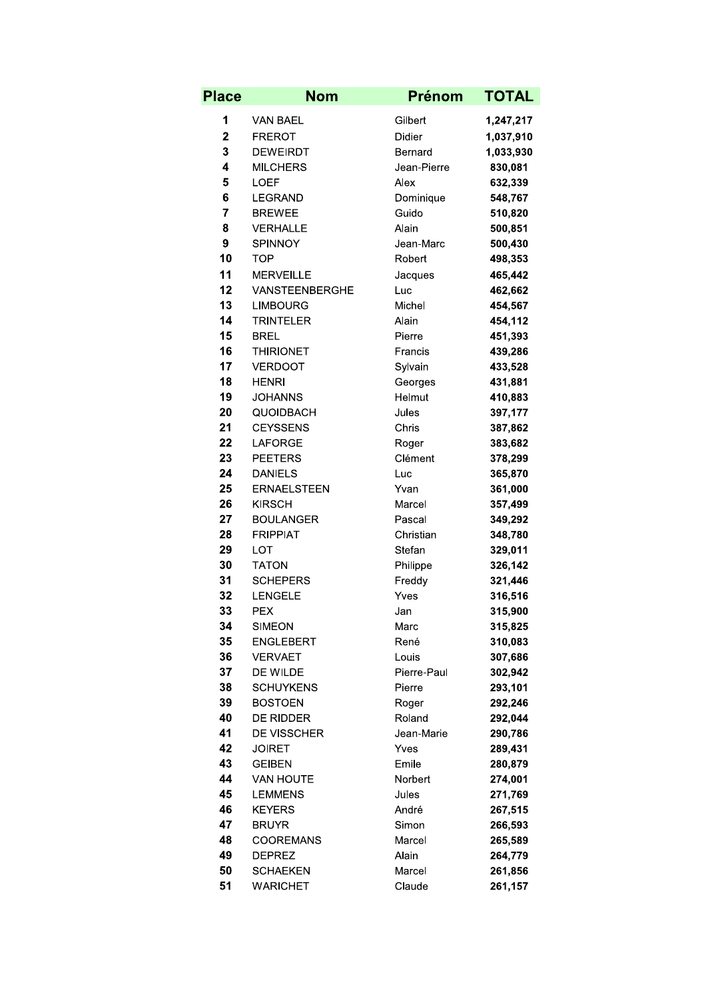| <b>Place</b> | <b>Nom</b>                 | <b>Prénom</b>      | <b>TOTAL</b>       |
|--------------|----------------------------|--------------------|--------------------|
| 1            | VAN BAEL                   | Gilbert            | 1,247,217          |
| 2            | <b>FREROT</b>              | Didier             | 1,037,910          |
| 3            | <b>DEWEIRDT</b>            | Bernard            | 1,033,930          |
| 4            | <b>MILCHERS</b>            | Jean-Pierre        | 830,081            |
| 5            | <b>LOEF</b>                | Alex               | 632,339            |
| 6            | <b>LEGRAND</b>             | Dominique          | 548,767            |
| 7            | <b>BREWEE</b>              | Guido              | 510,820            |
| 8            | <b>VERHALLE</b>            | Alain              | 500,851            |
| 9            | <b>SPINNOY</b>             | Jean-Marc          | 500,430            |
| 10           | <b>TOP</b>                 | Robert             | 498,353            |
| 11           | <b>MERVEILLE</b>           | Jacques            | 465,442            |
| 12           | VANSTEENBERGHE             | Luc                | 462,662            |
| 13           | <b>LIMBOURG</b>            | Michel             | 454,567            |
| 14           | <b>TRINTELER</b>           | Alain              | 454,112            |
| 15           | <b>BREL</b>                | Pierre             | 451,393            |
| 16           | <b>THIRIONET</b>           | Francis            | 439,286            |
| 17           | <b>VERDOOT</b>             | Sylvain            | 433,528            |
| 18           | <b>HENRI</b>               | Georges            | 431,881            |
| 19           | JOHANNS                    | Helmut             | 410,883            |
| 20           | <b>QUOIDBACH</b>           | Jules              | 397,177            |
| 21           | <b>CEYSSENS</b>            | Chris              | 387,862            |
| 22           | <b>LAFORGE</b>             | Roger              | 383,682            |
| 23           | <b>PEETERS</b>             | Clément            | 378,299            |
| 24           | <b>DANIELS</b>             | Luc                | 365,870            |
| 25           | <b>ERNAELSTEEN</b>         | Yvan               | 361,000            |
| 26           | <b>KIRSCH</b>              | Marcel             | 357,499            |
| 27           | <b>BOULANGER</b>           | Pascal             | 349,292            |
| 28<br>29     | <b>FRIPPIAT</b>            | Christian          | 348,780            |
| 30           | <b>LOT</b><br><b>TATON</b> | Stefan             | 329,011            |
| 31           | <b>SCHEPERS</b>            | Philippe<br>Freddy | 326,142<br>321,446 |
| 32           | <b>LENGELE</b>             | Yves               | 316,516            |
| 33           | <b>PEX</b>                 | Jan                | 315,900            |
| 34           | <b>SIMEON</b>              | Marc               | 315,825            |
| 35           | <b>ENGLEBERT</b>           | René               | 310,083            |
| 36           | <b>VERVAET</b>             | Louis              | 307,686            |
| 37           | DE WILDE                   | Pierre-Paul        | 302,942            |
| 38           | <b>SCHUYKENS</b>           | Pierre             | 293,101            |
| 39           | <b>BOSTOEN</b>             | Roger              | 292,246            |
| 40           | <b>DE RIDDER</b>           | Roland             | 292,044            |
| 41           | <b>DE VISSCHER</b>         | Jean-Marie         | 290,786            |
| 42           | <b>JOIRET</b>              | Yves               | 289,431            |
| 43           | <b>GEIBEN</b>              | Emile              | 280,879            |
| 44           | <b>VAN HOUTE</b>           | Norbert            | 274,001            |
| 45           | <b>LEMMENS</b>             | Jules              | 271,769            |
| 46           | <b>KEYERS</b>              | André              | 267,515            |
| 47           | <b>BRUYR</b>               | Simon              | 266,593            |
| 48           | <b>COOREMANS</b>           | Marcel             | 265,589            |
| 49           | <b>DEPREZ</b>              | Alain              | 264,779            |
| 50           | SCHAEKEN                   | Marcel             | 261,856            |
| 51           | <b>WARICHET</b>            | Claude             | 261,157            |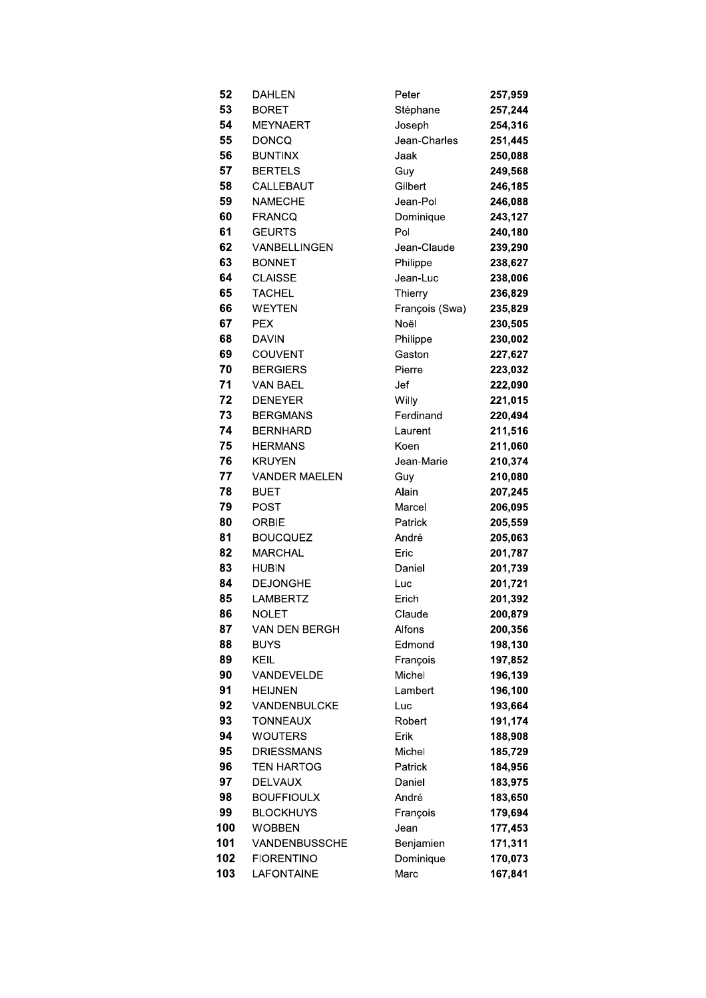| 52       | DAHLEN                 | Peter            | 257,959            |
|----------|------------------------|------------------|--------------------|
| 53       | <b>BORET</b>           | Stéphane         | 257,244            |
| 54       | <b>MEYNAERT</b>        | Joseph           | 254,316            |
| 55       | <b>DONCQ</b>           | Jean-Charles     | 251,445            |
| 56       | <b>BUNTINX</b>         | Jaak             | 250,088            |
| 57       | <b>BERTELS</b>         | Guy              | 249,568            |
| 58       | CALLEBAUT              | Gilbert          | 246,185            |
| 59       | <b>NAMECHE</b>         | Jean-Pol         | 246,088            |
| 60       | <b>FRANCQ</b>          | Dominique        | 243,127            |
| 61       | <b>GEURTS</b>          | Pol              | 240,180            |
| 62       | VANBELLINGEN           | Jean-Claude      | 239,290            |
| 63       | <b>BONNET</b>          | Philippe         | 238,627            |
| 64       | <b>CLAISSE</b>         | Jean-Luc         | 238,006            |
| 65       | <b>TACHEL</b>          | Thierry          | 236,829            |
| 66       | WEYTEN                 | François (Swa)   | 235,829            |
| 67       | <b>PEX</b>             | Noël             | 230,505            |
| 68       | <b>DAVIN</b>           | Philippe         | 230,002            |
| 69       | <b>COUVENT</b>         | Gaston           | 227,627            |
| 70       | <b>BERGIERS</b>        | Pierre           | 223,032            |
| 71       | <b>VAN BAEL</b>        | Jef              | 222,090            |
| 72       | <b>DENEYER</b>         | Willy            | 221,015            |
| 73       | <b>BERGMANS</b>        | Ferdinand        | 220,494            |
| 74       | <b>BERNHARD</b>        | Laurent          | 211,516            |
| 75       | <b>HERMANS</b>         | Koen             | 211,060            |
| 76       | <b>KRUYEN</b>          | Jean-Marie       | 210,374            |
| 77       | <b>VANDER MAELEN</b>   | Guy              | 210,080            |
| 78       | <b>BUET</b>            | Alain            | 207,245            |
| 79       | POST                   | Marcel           | 206,095            |
| 80       | <b>ORBIE</b>           | Patrick          | 205,559            |
| 81       | <b>BOUCQUEZ</b>        | André            | 205,063            |
| 82       | <b>MARCHAL</b>         | Eric             | 201,787            |
| 83       | <b>HUBIN</b>           | Daniel           | 201,739            |
| 84       | <b>DEJONGHE</b>        | Luc              | 201,721            |
| 85       | <b>LAMBERTZ</b>        | Erich            | 201,392            |
| 86<br>87 | NOLET<br>VAN DEN BERGH | Claude<br>Alfons | 200,879            |
| 88       | <b>BUYS</b>            | Edmond           | 200,356<br>198,130 |
| 89       | KEIL                   | François         | 197,852            |
| 90       | VANDEVELDE             | Michel           | 196,139            |
| 91       | <b>HEIJNEN</b>         | Lambert          | 196,100            |
| 92       | VANDENBULCKE           | Luc              | 193,664            |
| 93       | <b>TONNEAUX</b>        | Robert           | 191,174            |
| 94       | WOUTERS                | Erik             | 188,908            |
| 95       | <b>DRIESSMANS</b>      | Michel           | 185,729            |
| 96       | <b>TEN HARTOG</b>      | Patrick          | 184,956            |
| 97       | <b>DELVAUX</b>         | Daniel           | 183,975            |
| 98       | <b>BOUFFIOULX</b>      | André            | 183,650            |
| 99       | <b>BLOCKHUYS</b>       | François         | 179,694            |
| 100      | <b>WOBBEN</b>          | Jean             | 177,453            |
| 101      | VANDENBUSSCHE          | Benjamien        | 171,311            |
| 102      | <b>FIORENTINO</b>      | Dominique        | 170,073            |
| 103      | LAFONTAINE             | Marc             | 167,841            |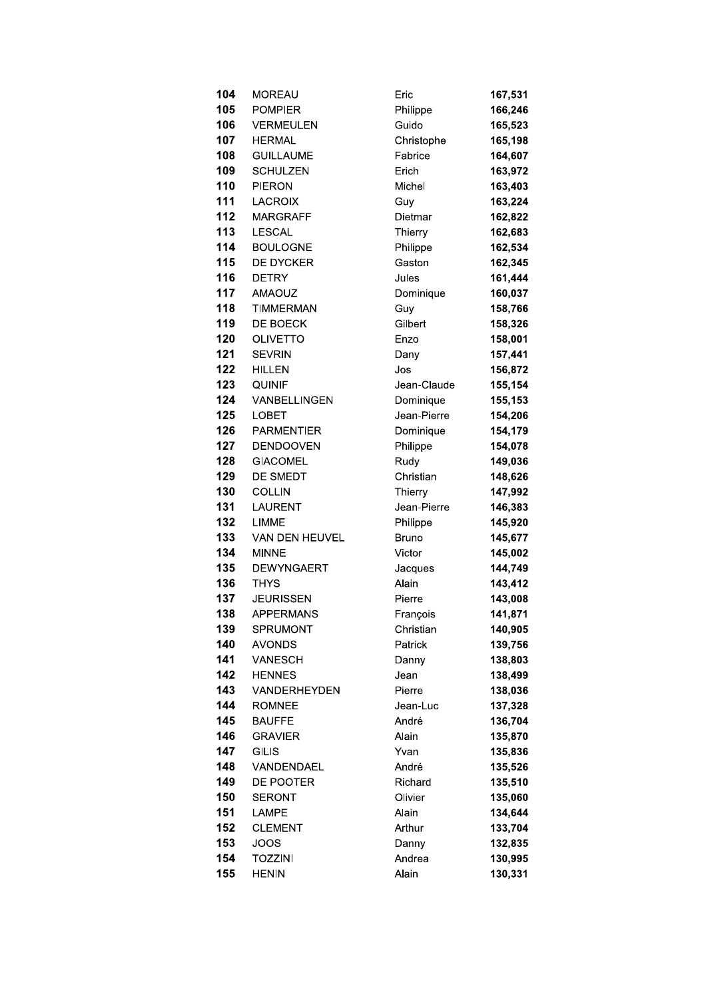| 104 | <b>MOREAU</b>     | Eric         | 167,531 |
|-----|-------------------|--------------|---------|
| 105 | <b>POMPIER</b>    | Philippe     | 166,246 |
| 106 | <b>VERMEULEN</b>  | Guido        | 165,523 |
| 107 | <b>HERMAL</b>     | Christophe   | 165,198 |
| 108 | <b>GUILLAUME</b>  | Fabrice      | 164,607 |
| 109 | <b>SCHULZEN</b>   | Erich        | 163,972 |
| 110 | <b>PIERON</b>     | Michel       | 163,403 |
| 111 | <b>LACROIX</b>    | Guy          | 163,224 |
| 112 | <b>MARGRAFF</b>   | Dietmar      | 162,822 |
| 113 | <b>LESCAL</b>     | Thierry      | 162,683 |
| 114 | <b>BOULOGNE</b>   | Philippe     | 162,534 |
| 115 | DE DYCKER         | Gaston       | 162,345 |
| 116 | <b>DETRY</b>      | Jules        | 161,444 |
| 117 | <b>AMAOUZ</b>     | Dominique    | 160,037 |
| 118 | <b>TIMMERMAN</b>  | Guy          | 158,766 |
| 119 | DE BOECK          | Gilbert      | 158,326 |
| 120 | <b>OLIVETTO</b>   | Enzo         | 158,001 |
| 121 | <b>SEVRIN</b>     | Dany         | 157,441 |
| 122 | <b>HILLEN</b>     | Jos          | 156,872 |
| 123 | <b>QUINIF</b>     | Jean-Claude  | 155,154 |
| 124 | VANBELLINGEN      | Dominique    | 155,153 |
| 125 | <b>LOBET</b>      | Jean-Pierre  | 154,206 |
| 126 | <b>PARMENTIER</b> | Dominique    | 154,179 |
| 127 | <b>DENDOOVEN</b>  | Philippe     | 154,078 |
| 128 | <b>GIACOMEL</b>   | Rudy         | 149,036 |
| 129 | DE SMEDT          | Christian    | 148,626 |
| 130 | <b>COLLIN</b>     | Thierry      | 147,992 |
| 131 | <b>LAURENT</b>    | Jean-Pierre  | 146,383 |
| 132 | <b>LIMME</b>      | Philippe     | 145,920 |
| 133 | VAN DEN HEUVEL    | <b>Bruno</b> | 145,677 |
| 134 | <b>MINNE</b>      | Victor       | 145,002 |
| 135 | <b>DEWYNGAERT</b> | Jacques      | 144,749 |
| 136 | <b>THYS</b>       | Alain        | 143,412 |
| 137 | <b>JEURISSEN</b>  | Pierre       | 143,008 |
| 138 | <b>APPERMANS</b>  | François     | 141,871 |
| 139 | <b>SPRUMONT</b>   | Christian    | 140,905 |
| 140 | <b>AVONDS</b>     | Patrick      | 139,756 |
| 141 | <b>VANESCH</b>    | Danny        | 138,803 |
| 142 | <b>HENNES</b>     | Jean         | 138,499 |
| 143 | VANDERHEYDEN      | Pierre       | 138,036 |
| 144 | <b>ROMNEE</b>     | Jean-Luc     | 137,328 |
| 145 | <b>BAUFFE</b>     | André        | 136,704 |
| 146 | <b>GRAVIER</b>    | Alain        | 135,870 |
| 147 | <b>GILIS</b>      | Yvan         | 135,836 |
| 148 | VANDENDAEL        | André        | 135,526 |
| 149 | DE POOTER         | Richard      | 135,510 |
| 150 | <b>SERONT</b>     | Olivier      | 135,060 |
| 151 | LAMPE             | Alain        | 134,644 |
| 152 | <b>CLEMENT</b>    | Arthur       | 133,704 |
| 153 | <b>JOOS</b>       | Danny        | 132,835 |
| 154 | <b>TOZZINI</b>    | Andrea       | 130,995 |
| 155 | <b>HENIN</b>      | Alain        | 130,331 |
|     |                   |              |         |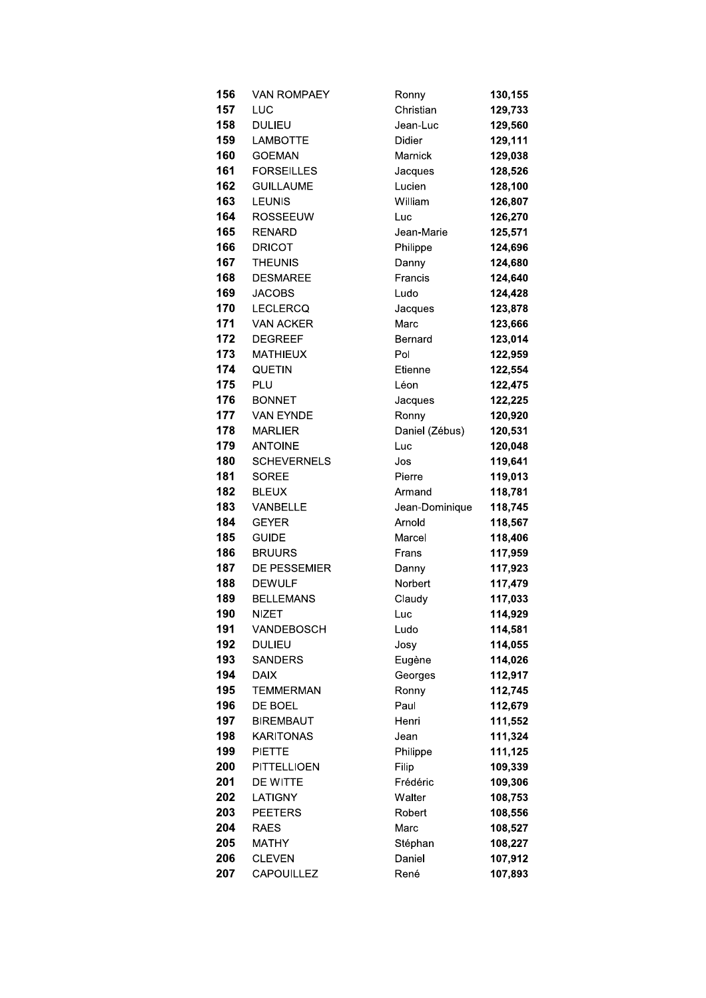| 156 | <b>VAN ROMPAEY</b> | Ronny          | 130,155 |
|-----|--------------------|----------------|---------|
| 157 | LUC                | Christian      | 129,733 |
| 158 | <b>DULIEU</b>      | Jean-Luc       | 129,560 |
| 159 | <b>LAMBOTTE</b>    | Didier         | 129,111 |
| 160 | <b>GOEMAN</b>      | Marnick        | 129,038 |
| 161 | <b>FORSEILLES</b>  | Jacques        | 128,526 |
| 162 | <b>GUILLAUME</b>   | Lucien         | 128,100 |
| 163 | <b>LEUNIS</b>      | William        | 126,807 |
| 164 | <b>ROSSEEUW</b>    | Luc            | 126,270 |
| 165 | <b>RENARD</b>      | Jean-Marie     | 125,571 |
| 166 | <b>DRICOT</b>      | Philippe       | 124,696 |
| 167 | <b>THEUNIS</b>     | Danny          | 124,680 |
| 168 | <b>DESMAREE</b>    | Francis        | 124,640 |
| 169 | <b>JACOBS</b>      | Ludo           | 124,428 |
| 170 | <b>LECLERCQ</b>    | Jacques        | 123,878 |
| 171 | <b>VAN ACKER</b>   | Marc           | 123,666 |
| 172 | <b>DEGREEF</b>     | Bernard        | 123,014 |
| 173 | <b>MATHIEUX</b>    | Pol            | 122,959 |
| 174 | <b>QUETIN</b>      | Etienne        | 122,554 |
| 175 | PLU                | Léon           | 122,475 |
| 176 | <b>BONNET</b>      | Jacques        | 122,225 |
| 177 | VAN EYNDE          | Ronny          | 120,920 |
| 178 | <b>MARLIER</b>     | Daniel (Zébus) | 120,531 |
| 179 | <b>ANTOINE</b>     | Luc            | 120,048 |
| 180 | <b>SCHEVERNELS</b> | Jos            | 119,641 |
| 181 | <b>SOREE</b>       | Pierre         | 119,013 |
| 182 | <b>BLEUX</b>       | Armand         | 118,781 |
| 183 | <b>VANBELLE</b>    | Jean-Dominique | 118,745 |
| 184 | <b>GEYER</b>       | Arnold         | 118,567 |
| 185 | <b>GUIDE</b>       | Marcel         | 118,406 |
| 186 | <b>BRUURS</b>      | Frans          | 117,959 |
| 187 | DE PESSEMIER       | Danny          | 117,923 |
| 188 | <b>DEWULF</b>      | Norbert        | 117,479 |
| 189 | <b>BELLEMANS</b>   | Claudy         | 117,033 |
| 190 | NIZET              | Luc-           | 114,929 |
| 191 | VANDEBOSCH         | Ludo           | 114,581 |
| 192 | <b>DULIEU</b>      | Josy           | 114,055 |
| 193 | <b>SANDERS</b>     | Eugène         | 114,026 |
| 194 | <b>DAIX</b>        | Georges        | 112,917 |
| 195 | <b>TEMMERMAN</b>   | Ronny          | 112,745 |
| 196 | DE BOEL            | Paul           | 112,679 |
| 197 | <b>BIREMBAUT</b>   | Henri          | 111,552 |
| 198 | <b>KARITONAS</b>   | Jean           | 111,324 |
| 199 | <b>PIETTE</b>      | Philippe       | 111,125 |
| 200 | <b>PITTELLIOEN</b> | Filip          | 109,339 |
| 201 | DE WITTE           | Frédéric       | 109,306 |
| 202 | LATIGNY            | Walter         | 108,753 |
| 203 | <b>PEETERS</b>     | Robert         | 108,556 |
| 204 | <b>RAES</b>        | Marc           | 108,527 |
| 205 | <b>MATHY</b>       | Stéphan        | 108,227 |
| 206 | <b>CLEVEN</b>      | Daniel         | 107,912 |
| 207 | <b>CAPOUILLEZ</b>  | René           | 107,893 |
|     |                    |                |         |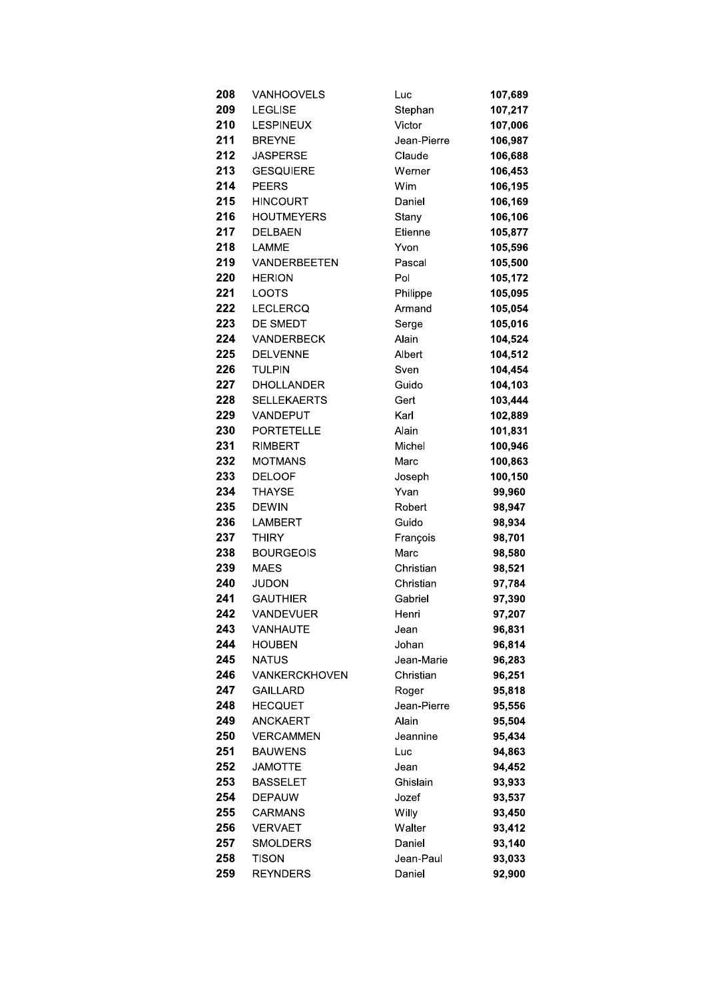| 208 | <b>VANHOOVELS</b>  | Luc         | 107,689 |
|-----|--------------------|-------------|---------|
| 209 | <b>LEGLISE</b>     | Stephan     | 107,217 |
| 210 | <b>LESPINEUX</b>   | Victor      | 107,006 |
| 211 | <b>BREYNE</b>      | Jean-Pierre | 106,987 |
| 212 | <b>JASPERSE</b>    | Claude      | 106,688 |
| 213 | <b>GESQUIERE</b>   | Werner      | 106,453 |
| 214 | <b>PEERS</b>       | Wim         | 106,195 |
| 215 | <b>HINCOURT</b>    | Daniel      | 106,169 |
| 216 | <b>HOUTMEYERS</b>  | Stany       | 106,106 |
| 217 | <b>DELBAEN</b>     | Etienne     | 105,877 |
| 218 | <b>LAMME</b>       | Yvon        | 105,596 |
| 219 | VANDERBEETEN       | Pascal      | 105,500 |
| 220 | <b>HERION</b>      | Pol         | 105,172 |
| 221 | <b>LOOTS</b>       | Philippe    | 105,095 |
| 222 | <b>LECLERCQ</b>    | Armand      | 105,054 |
| 223 | DE SMEDT           | Serge       | 105,016 |
| 224 | <b>VANDERBECK</b>  | Alain       | 104,524 |
| 225 | <b>DELVENNE</b>    | Albert      | 104,512 |
| 226 | <b>TULPIN</b>      | Sven        | 104,454 |
| 227 | <b>DHOLLANDER</b>  | Guido       | 104,103 |
| 228 | <b>SELLEKAERTS</b> | Gert        | 103,444 |
| 229 | VANDEPUT           | Karl        | 102,889 |
| 230 | <b>PORTETELLE</b>  | Alain       | 101,831 |
| 231 | RIMBERT            | Michel      | 100,946 |
| 232 | <b>MOTMANS</b>     | Marc        | 100,863 |
| 233 | <b>DELOOF</b>      | Joseph      | 100,150 |
| 234 | THAYSE             | Yvan        | 99,960  |
| 235 | <b>DEWIN</b>       | Robert      | 98,947  |
| 236 | <b>LAMBERT</b>     | Guido       | 98,934  |
| 237 | <b>THIRY</b>       | François    | 98,701  |
| 238 | <b>BOURGEOIS</b>   | Marc        | 98,580  |
| 239 | <b>MAES</b>        | Christian   | 98,521  |
| 240 | JUDON              | Christian   | 97,784  |
| 241 | <b>GAUTHIER</b>    | Gabriel     | 97,390  |
| 242 | VANDEVUER          | Henri       | 97,207  |
| 243 | VANHAUTE           | Jean        | 96,831  |
| 244 | <b>HOUBEN</b>      | Johan       | 96,814  |
| 245 | <b>NATUS</b>       | Jean-Marie  | 96,283  |
| 246 | VANKERCKHOVEN      | Christian   | 96,251  |
| 247 | <b>GAILLARD</b>    | Roger       | 95,818  |
| 248 | <b>HECQUET</b>     | Jean-Pierre | 95,556  |
| 249 | ANCKAERT           | Alain       | 95,504  |
| 250 | <b>VERCAMMEN</b>   | Jeannine    | 95,434  |
| 251 | <b>BAUWENS</b>     | Luc         | 94,863  |
| 252 | <b>JAMOTTE</b>     | Jean        | 94,452  |
| 253 | <b>BASSELET</b>    | Ghislain    | 93,933  |
| 254 | <b>DEPAUW</b>      | Jozef       | 93,537  |
| 255 | CARMANS            | Willy       | 93,450  |
| 256 | VERVAET            | Walter      | 93,412  |
| 257 | SMOLDERS           | Daniel      | 93,140  |
| 258 | Tison              | Jean-Paul   | 93,033  |
| 259 | <b>REYNDERS</b>    | Daniel      | 92,900  |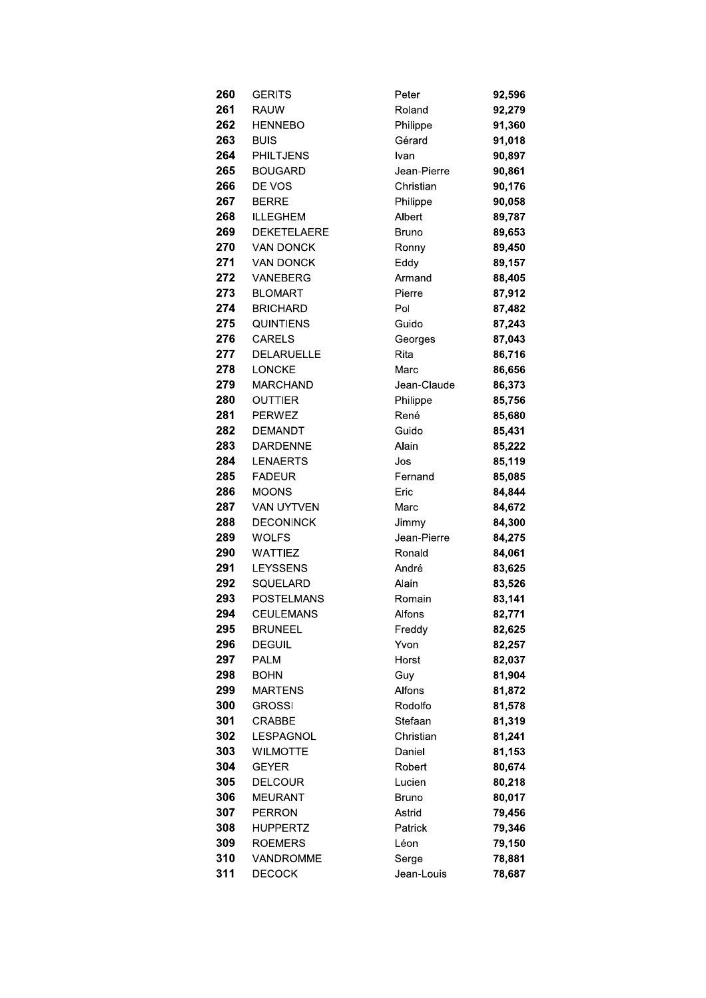| 260.       | <b>GERITS</b>     |
|------------|-------------------|
| 261        | RAUW              |
| 262        | <b>HENNEBO</b>    |
| 263 —      | <b>BUIS</b>       |
| 264        | <b>PHILTJENS</b>  |
| 265        | <b>BOUGARD</b>    |
| 266        | DE VOS            |
| 267        | <b>BERRE</b>      |
| 268        | <b>ILLEGHEM</b>   |
|            | 269 DEKETELAERE   |
| 270        | <b>VAN DONCK</b>  |
| 271        | VAN DONCK         |
| 272.       | VANEBERG          |
| 273.       | <b>BLOMART</b>    |
| 274        | <b>BRICHARD</b>   |
|            | 275 QUINTIENS     |
|            | 276 CARELS        |
| 277        | <b>DELARUELLE</b> |
| 278        | <b>LONCKE</b>     |
| 279        | MARCHAND          |
| 280        | OUTTIER           |
|            | 281 PERWEZ        |
| 282        | <b>DEMANDT</b>    |
| 283        | <b>DARDENNE</b>   |
| 284 -      | LENAERTS          |
| 285        | <b>FADEUR</b>     |
| 286.       | <b>MOONS</b>      |
| 287        | <b>VAN UYTVEN</b> |
| 288        | <b>DECONINCK</b>  |
| 289        | <b>WOLFS</b>      |
| 290 —      | WATTIEZ           |
| 291        | LEYSSENS          |
| 292.       | SQUELARD          |
| 293        | <b>POSTELMANS</b> |
| 294        | CEULEMANS         |
| 295        | <b>BRUNEEL</b>    |
| 296        | DEGUIL            |
| 297        | <b>PALM</b>       |
| 298        | BOHN              |
| 299        | <b>MARTENS</b>    |
| 300<br>301 | GROSSI<br>CRABBE  |
| 302        | LESPAGNOL         |
| 303        | <b>WILMOTTE</b>   |
| 304        | GEYER             |
| 305        | <b>DELCOUR</b>    |
| 306        | MEURANT           |
| 307        | PERRON            |
| 308        | HUPPERTZ          |
| 309        | ROEMERS           |
| 310        | VANDROMME         |
| 311        | <b>DECOCK</b>     |
|            |                   |

| Peter             | 92,596           |
|-------------------|------------------|
| Roland            | 92,279           |
| Philippe          | 91,360           |
| Gérard            | 91,018           |
| Ivan              | 90,897           |
| Jean-Pierre       | 90,861           |
| Christian         | 90,176           |
| Philippe          | 90,058           |
| Albert            | 89,787           |
| Bruno             | 89,653           |
| Ronny             | 89,450           |
| Eddy              | 89,157           |
| Armand            | 88,405           |
| Pierre            | 87,912           |
| Pol               | 87,482           |
| Guido             | 87,243           |
| Georges           | 87,043           |
| Rita              | 86,716           |
| Marc              | 86,656           |
| Jean-Claude       | 86,373           |
| Philippe          | 85,756           |
| René              | 85,680           |
| Guido             | 85,431           |
| Alain             | 85,222           |
| Jos               | 85,119           |
| Fernand           | 85,085           |
| Eric              | 84,844           |
| Marc              | 84,672           |
| Jimmy             | 84,300           |
| Jean-Pierre       | 84,275           |
| Ronald            | 84,061           |
| André             | 83,625           |
| Alain             | 83,526           |
| Romain            | 83,141           |
| Alfons            | 82.771           |
| Freddy            | 82,625           |
| Yvon              | 82,257           |
| Horst             | 82,037           |
| Guy               | 81,904           |
| Alfons<br>Rodolfo | 81,872           |
| Stefaan           | 81,578<br>81,319 |
| Christian         | 81,241           |
| Daniel            | 81,153           |
| Robert            | 80,674           |
| Lucien            | 80,218           |
| Bruno             | 80,017           |
| Astrid            | 79,456           |
| Patrick           | 79,346           |
| Léon              | 79,150           |
| Serge             | 78,881           |
| Jean-Louis        | 78,687           |
|                   |                  |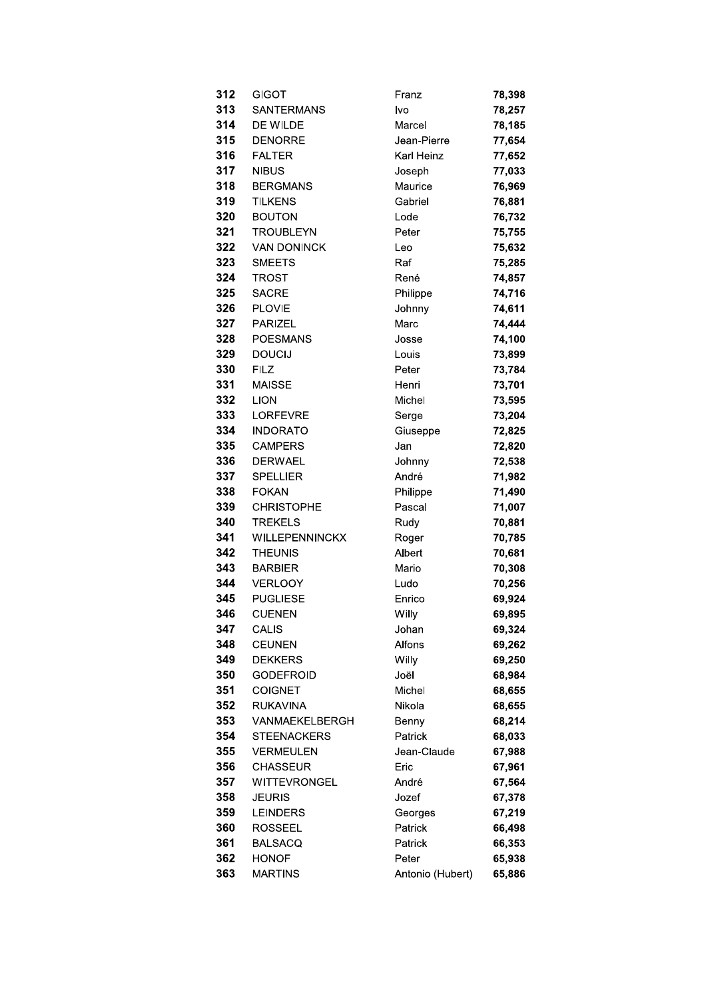| 312 | GIGOT              | Franz            | 78,398 |
|-----|--------------------|------------------|--------|
| 313 | SANTERMANS         | Ivo              | 78,257 |
| 314 | DE WILDE           | Marcel           | 78,185 |
| 315 | <b>DENORRE</b>     | Jean-Pierre      | 77,654 |
| 316 | <b>FALTER</b>      | Karl Heinz       | 77,652 |
| 317 | <b>NIBUS</b>       | Joseph           | 77,033 |
| 318 | <b>BERGMANS</b>    | Maurice          | 76,969 |
| 319 | <b>TILKENS</b>     | Gabriel          | 76,881 |
| 320 | <b>BOUTON</b>      | Lode             | 76,732 |
| 321 | <b>TROUBLEYN</b>   | Peter            | 75,755 |
| 322 | <b>VAN DONINCK</b> | Leo              | 75,632 |
| 323 | <b>SMEETS</b>      | Raf              | 75,285 |
| 324 | <b>TROST</b>       | René             | 74,857 |
| 325 | <b>SACRE</b>       | Philippe         | 74,716 |
| 326 | <b>PLOVIE</b>      | Johnny           | 74,611 |
| 327 | <b>PARIZEL</b>     | Marc             | 74,444 |
| 328 | <b>POESMANS</b>    | Josse            | 74,100 |
| 329 | <b>DOUCIJ</b>      | Louis            | 73,899 |
| 330 | <b>FILZ</b>        | Peter            | 73,784 |
| 331 | <b>MAISSE</b>      | Henri            | 73,701 |
| 332 | <b>LION</b>        | Michel           | 73,595 |
| 333 | <b>LORFEVRE</b>    | Serge            | 73,204 |
| 334 | <b>INDORATO</b>    | Giuseppe         | 72,825 |
| 335 | <b>CAMPERS</b>     | Jan              | 72,820 |
| 336 | <b>DERWAEL</b>     | Johnny           | 72,538 |
| 337 | <b>SPELLIER</b>    | André            | 71,982 |
| 338 | <b>FOKAN</b>       | Philippe         | 71,490 |
| 339 | <b>CHRISTOPHE</b>  | Pascal           | 71,007 |
| 340 | <b>TREKELS</b>     | Rudy             | 70,881 |
| 341 | WILLEPENNINCKX     | Roger            | 70,785 |
| 342 | <b>THEUNIS</b>     | Albert           | 70,681 |
| 343 | <b>BARBIER</b>     | Mario            | 70,308 |
| 344 | <b>VERLOOY</b>     | Ludo             | 70,256 |
| 345 | <b>PUGLIESE</b>    | Enrico           | 69,924 |
| 346 | <b>CUENEN</b>      | Willy            | 69,895 |
| 347 | <b>CALIS</b>       | Johan            | 69,324 |
| 348 | <b>CEUNEN</b>      | Alfons           | 69,262 |
| 349 | <b>DEKKERS</b>     | Willy            | 69,250 |
| 350 | <b>GODEFROID</b>   | Joël             | 68,984 |
| 351 | <b>COIGNET</b>     | Michel           | 68,655 |
| 352 | <b>RUKAVINA</b>    | Nikola           | 68,655 |
| 353 | VANMAEKELBERGH     | Benny            | 68,214 |
| 354 | <b>STEENACKERS</b> | Patrick          | 68,033 |
| 355 | <b>VERMEULEN</b>   | Jean-Claude      | 67,988 |
| 356 | <b>CHASSEUR</b>    | Eric             | 67,961 |
| 357 | WITTEVRONGEL       | André            | 67,564 |
| 358 | <b>JEURIS</b>      | Jozef            | 67,378 |
| 359 | <b>LEINDERS</b>    | Georges          | 67,219 |
| 360 | ROSSEEL            | Patrick          | 66,498 |
| 361 | <b>BALSACQ</b>     | Patrick          | 66,353 |
| 362 | <b>HONOF</b>       | Peter            | 65,938 |
| 363 | <b>MARTINS</b>     | Antonio (Hubert) | 65,886 |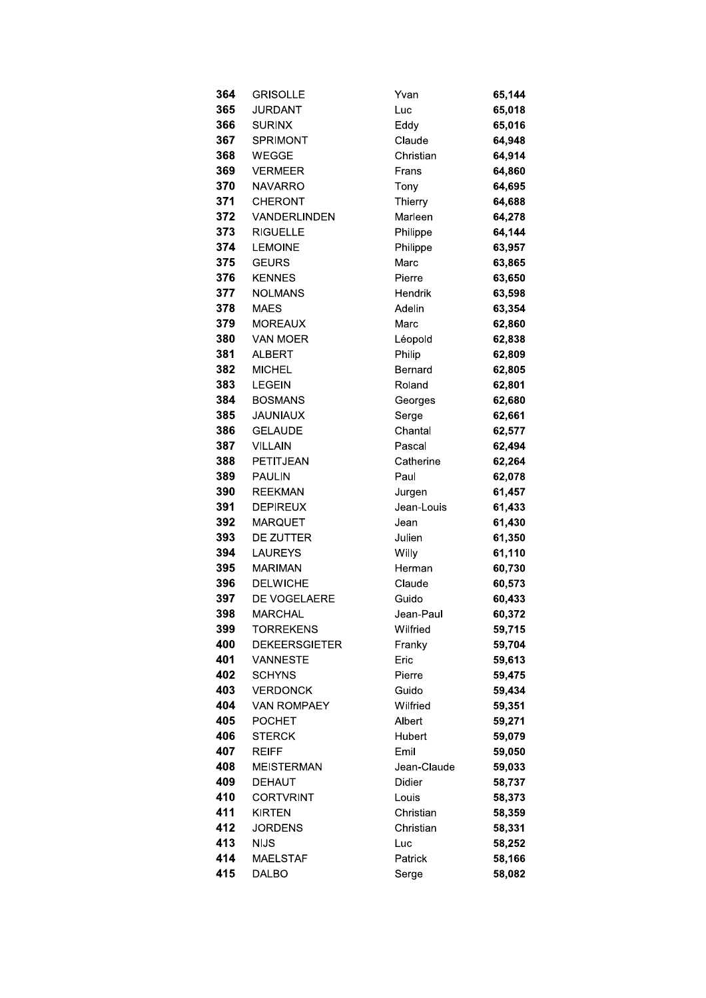| 364        | <b>GRISOLLE</b>                         | Yvan           | 65,144           |
|------------|-----------------------------------------|----------------|------------------|
| 365        | <b>JURDANT</b>                          | Luc            | 65,018           |
| 366        | <b>SURINX</b>                           | Eddy           | 65,016           |
| 367        | <b>SPRIMONT</b>                         | Claude         | 64,948           |
| 368        | <b>WEGGE</b>                            | Christian      | 64,914           |
| 369        | <b>VERMEER</b>                          | Frans          | 64,860           |
| 370        | <b>NAVARRO</b>                          | Tony           | 64,695           |
| 371        | <b>CHERONT</b>                          | Thierry        | 64,688           |
| 372        | VANDERLINDEN                            | Marleen        | 64,278           |
| 373        | <b>RIGUELLE</b>                         | Philippe       | 64,144           |
| 374        | <b>LEMOINE</b>                          | Philippe       | 63,957           |
| 375        | <b>GEURS</b>                            | Marc           | 63,865           |
| 376        | <b>KENNES</b>                           | Pierre         | 63,650           |
| 377        | <b>NOLMANS</b>                          | Hendrik        | 63,598           |
| 378        | <b>MAES</b>                             | Adelin         | 63,354           |
| 379        | <b>MOREAUX</b>                          | Marc           | 62,860           |
| 380        | <b>VAN MOER</b>                         | Léopold        | 62,838           |
| 381        | <b>ALBERT</b>                           | Philip         | 62,809           |
| 382        | <b>MICHEL</b>                           | Bernard        | 62,805           |
| 383        | <b>LEGEIN</b>                           | Roland         | 62,801           |
| 384        | <b>BOSMANS</b>                          | Georges        | 62,680           |
| 385        | <b>JAUNIAUX</b>                         | Serge          | 62,661           |
| 386        | <b>GELAUDE</b>                          | Chantal        | 62,577           |
| 387        | <b>VILLAIN</b>                          | Pascal         | 62,494           |
| 388        | PETITJEAN                               | Catherine      | 62,264           |
| 389        | <b>PAULIN</b>                           | Paul           | 62,078           |
| 390        | <b>REEKMAN</b>                          | Jurgen         | 61,457           |
| 391        | <b>DEPIREUX</b>                         | Jean-Louis     | 61,433           |
| 392        | <b>MARQUET</b>                          | Jean           | 61,430           |
| 393        | DE ZUTTER                               | Julien         | 61,350           |
| 394        | <b>LAUREYS</b>                          | Willy          | 61,110           |
| 395        | <b>MARIMAN</b>                          | Herman         | 60,730           |
| 396        | <b>DELWICHE</b>                         | Claude         | 60,573           |
| 397        | DE VOGELAERE                            | Guido          | 60,433           |
| 398        | MARCHAL                                 | Jean-Paul      | 60,372           |
| 399        | <b>TORREKENS</b>                        | Wilfried       | 59,715           |
| 400<br>401 | <b>DEKEERSGIETER</b><br><b>VANNESTE</b> | Franky         | 59,704           |
| 402        | <b>SCHYNS</b>                           | Eric<br>Pierre | 59,613           |
| 403        | <b>VERDONCK</b>                         | Guido          | 59,475<br>59,434 |
| 404        | <b>VAN ROMPAEY</b>                      | Wilfried       | 59,351           |
| 405        | <b>POCHET</b>                           | Albert         | 59,271           |
| 406        | <b>STERCK</b>                           | Hubert         | 59,079           |
| 407        | <b>REIFF</b>                            | Emil           | 59,050           |
| 408        | <b>MEISTERMAN</b>                       | Jean-Claude    | 59,033           |
| 409        | <b>DEHAUT</b>                           | <b>Didier</b>  | 58,737           |
| 410        | CORTVRINT                               | Louis          | 58,373           |
| 411        | <b>KIRTEN</b>                           | Christian      | 58,359           |
| 412        | JORDENS                                 | Christian      | 58,331           |
| 413        | <b>NIJS</b>                             | Luc            | 58,252           |
| 414        | <b>MAELSTAF</b>                         | Patrick        | 58,166           |
| 415        | <b>DALBO</b>                            | Serge          | 58,082           |
|            |                                         |                |                  |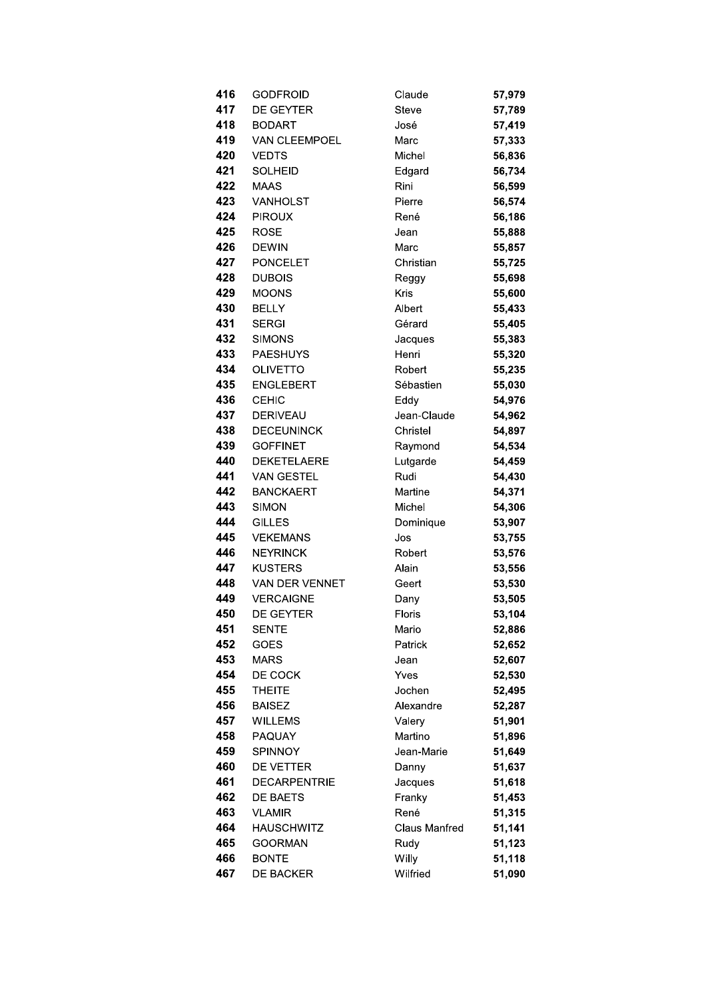| 416 | GODFROID            | Claude        | 57,979 |
|-----|---------------------|---------------|--------|
| 417 | <b>DE GEYTER</b>    | <b>Steve</b>  | 57,789 |
| 418 | <b>BODART</b>       | José          | 57,419 |
| 419 | VAN CLEEMPOEL       | Marc          | 57,333 |
| 420 | <b>VEDTS</b>        | Michel        | 56,836 |
| 421 | <b>SOLHEID</b>      | Edgard        | 56,734 |
| 422 | <b>MAAS</b>         | Rini          | 56,599 |
| 423 | <b>VANHOLST</b>     | Pierre        | 56,574 |
| 424 | <b>PIROUX</b>       | René          | 56,186 |
| 425 | <b>ROSE</b>         | Jean          | 55,888 |
| 426 | <b>DEWIN</b>        | Marc          | 55,857 |
| 427 | <b>PONCELET</b>     | Christian     | 55,725 |
| 428 | <b>DUBOIS</b>       | Reggy         | 55,698 |
| 429 | <b>MOONS</b>        | Kris          | 55,600 |
| 430 | <b>BELLY</b>        | Albert        | 55,433 |
| 431 | <b>SERGI</b>        | Gérard        | 55,405 |
| 432 | <b>SIMONS</b>       | Jacques       | 55,383 |
| 433 | <b>PAESHUYS</b>     | Henri         | 55,320 |
| 434 | <b>OLIVETTO</b>     | Robert        | 55,235 |
| 435 | <b>ENGLEBERT</b>    | Sébastien     | 55,030 |
| 436 | <b>CEHIC</b>        | Eddy          | 54,976 |
| 437 | <b>DERIVEAU</b>     | Jean-Claude   | 54,962 |
| 438 | <b>DECEUNINCK</b>   | Christel      | 54,897 |
| 439 | <b>GOFFINET</b>     | Raymond       | 54,534 |
| 440 | <b>DEKETELAERE</b>  | Lutgarde      | 54,459 |
| 441 | <b>VAN GESTEL</b>   | Rudi          | 54,430 |
| 442 | <b>BANCKAERT</b>    | Martine       | 54,371 |
| 443 | <b>SIMON</b>        | Michel        | 54,306 |
| 444 | <b>GILLES</b>       | Dominique     | 53,907 |
| 445 | <b>VEKEMANS</b>     | Jos           | 53,755 |
| 446 | <b>NEYRINCK</b>     | Robert        | 53,576 |
| 447 | <b>KUSTERS</b>      | Alain         | 53,556 |
| 448 | VAN DER VENNET      | Geert         | 53,530 |
| 449 | <b>VERCAIGNE</b>    | Dany          | 53,505 |
| 450 | DE GEYTER           | Floris        | 53,104 |
| 451 | <b>SENTE</b>        | Mario         | 52,886 |
| 452 | GOES                | Patrick       | 52,652 |
| 453 | <b>MARS</b>         | Jean          | 52,607 |
| 454 | DE COCK             | Yves          | 52,530 |
| 455 | <b>THEITE</b>       | Jochen        | 52,495 |
| 456 | <b>BAISEZ</b>       | Alexandre     | 52,287 |
| 457 | <b>WILLEMS</b>      | Valery        | 51,901 |
| 458 | PAQUAY              | Martino       | 51,896 |
| 459 | SPINNOY             | Jean-Marie    | 51,649 |
| 460 | DE VETTER           | Danny         | 51,637 |
| 461 | <b>DECARPENTRIE</b> | Jacques       | 51,618 |
| 462 | <b>DE BAETS</b>     | Franky        | 51,453 |
| 463 | <b>VLAMIR</b>       | René          | 51,315 |
| 464 | <b>HAUSCHWITZ</b>   | Claus Manfred | 51,141 |
| 465 | <b>GOORMAN</b>      | Rudy          | 51,123 |
| 466 | <b>BONTE</b>        | Willy         | 51,118 |
| 467 | DE BACKER           | Wilfried      | 51,090 |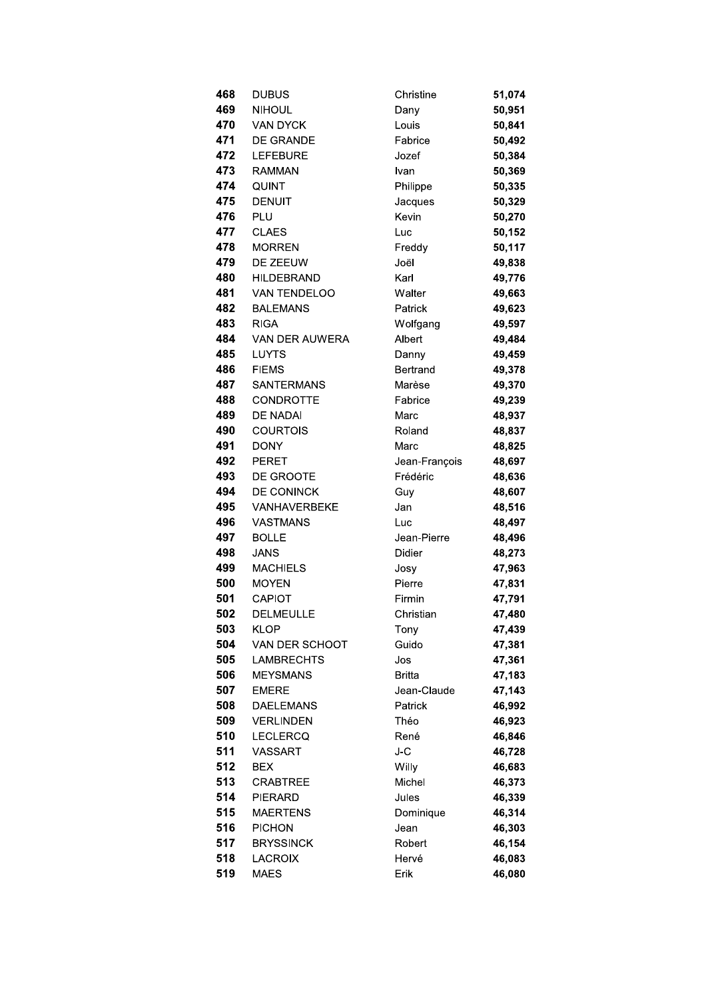| 468 | <b>DUBUS</b>        | Christine     | 51,074 |
|-----|---------------------|---------------|--------|
| 469 | <b>NIHOUL</b>       | Dany          | 50,951 |
| 470 | <b>VAN DYCK</b>     | Louis         | 50,841 |
| 471 | <b>DE GRANDE</b>    | Fabrice       | 50,492 |
| 472 | <b>LEFEBURE</b>     | Jozef         | 50,384 |
| 473 | <b>RAMMAN</b>       | Ivan          | 50,369 |
| 474 | QUINT               | Philippe      | 50,335 |
| 475 | <b>DENUIT</b>       | Jacques       | 50,329 |
| 476 | PLU                 | Kevin         | 50,270 |
| 477 | <b>CLAES</b>        | Luc           | 50,152 |
| 478 | <b>MORREN</b>       | Freddy        | 50,117 |
| 479 | DE ZEEUW            | Joël          | 49,838 |
| 480 | <b>HILDEBRAND</b>   | Karl          | 49,776 |
| 481 | VAN TENDELOO        | Walter        | 49,663 |
| 482 | <b>BALEMANS</b>     | Patrick       | 49,623 |
| 483 | <b>RIGA</b>         | Wolfgang      | 49,597 |
| 484 | VAN DER AUWERA      | Albert        | 49,484 |
| 485 | LUYTS               | Danny         | 49,459 |
| 486 | <b>FIEMS</b>        | Bertrand      | 49,378 |
| 487 | <b>SANTERMANS</b>   | Marèse        | 49,370 |
| 488 | <b>CONDROTTE</b>    | Fabrice       | 49,239 |
| 489 | DE NADAI            | Marc          | 48,937 |
| 490 | <b>COURTOIS</b>     | Roland        | 48,837 |
| 491 | <b>DONY</b>         | Marc          | 48,825 |
| 492 | <b>PERET</b>        | Jean-François | 48,697 |
| 493 | <b>DE GROOTE</b>    | Frédéric      | 48,636 |
| 494 | DE CONINCK          | Guy           | 48,607 |
| 495 | <b>VANHAVERBEKE</b> | Jan           | 48,516 |
| 496 | <b>VASTMANS</b>     | Luc           | 48,497 |
| 497 | <b>BOLLE</b>        | Jean-Pierre   | 48,496 |
| 498 | <b>JANS</b>         | <b>Didier</b> | 48,273 |
| 499 | <b>MACHIELS</b>     | Josy          | 47,963 |
| 500 | <b>MOYEN</b>        | Pierre        | 47,831 |
| 501 | CAPIOT              | Firmin        | 47,791 |
| 502 | <b>DELMEULLE</b>    | Christian     | 47,480 |
| 503 | <b>KLOP</b>         | Tony          | 47,439 |
| 504 | VAN DER SCHOOT      | Guido         | 47,381 |
| 505 | <b>LAMBRECHTS</b>   | Jos           | 47,361 |
| 506 | <b>MEYSMANS</b>     | Britta        | 47,183 |
| 507 | <b>EMERE</b>        | Jean-Claude   | 47,143 |
| 508 | <b>DAELEMANS</b>    | Patrick       | 46,992 |
| 509 | <b>VERLINDEN</b>    | Théo          | 46,923 |
| 510 | <b>LECLERCQ</b>     | René          | 46,846 |
| 511 | VASSART             | J-C           |        |
| 512 | <b>BEX</b>          |               | 46,728 |
| 513 | <b>CRABTREE</b>     | Willy         | 46,683 |
|     |                     | Michel        | 46,373 |
| 514 | <b>PIERARD</b>      | Jules         | 46,339 |
| 515 | <b>MAERTENS</b>     | Dominique     | 46,314 |
| 516 | <b>PICHON</b>       | Jean          | 46,303 |
| 517 | <b>BRYSSINCK</b>    | Robert        | 46,154 |
| 518 | <b>LACROIX</b>      | Hervé         | 46,083 |
| 519 | <b>MAES</b>         | Erik          | 46,080 |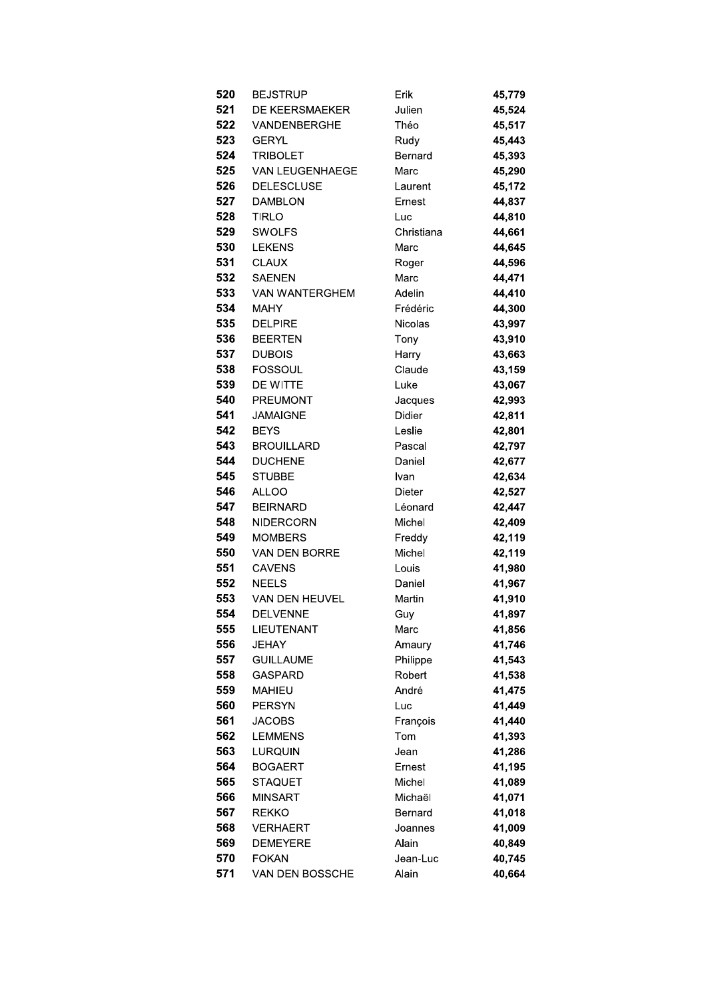| 520        | BEJSTRUP                      | Erik            | 45,779           |
|------------|-------------------------------|-----------------|------------------|
| 521        | DE KEERSMAEKER                | Julien          | 45,524           |
| 522        | VANDENBERGHE                  | Théo            | 45,517           |
| 523        | GERYL                         | Rudy            | 45,443           |
| 524        | <b>TRIBOLET</b>               | Bernard         | 45,393           |
| 525        | VAN LEUGENHAEGE               | Marc            | 45,290           |
| 526        | <b>DELESCLUSE</b>             | Laurent         | 45,172           |
| 527        | <b>DAMBLON</b>                | Ernest          | 44,837           |
| 528        | TIRLO                         | Luc             | 44,810           |
| 529        | <b>SWOLFS</b>                 | Christiana      | 44,661           |
| 530        | <b>LEKENS</b>                 | Marc            | 44,645           |
| 531        | <b>CLAUX</b>                  | Roger           | 44,596           |
| 532        | <b>SAENEN</b>                 | Marc            | 44,471           |
| 533        | <b>VAN WANTERGHEM</b>         | Adelin          | 44,410           |
| 534        | <b>MAHY</b>                   | Frédéric        | 44,300           |
| 535        | <b>DELPIRE</b>                | Nicolas         | 43,997           |
| 536        | <b>BEERTEN</b>                | Tony            | 43,910           |
| 537        | <b>DUBOIS</b>                 | Harry           | 43,663           |
| 538        | <b>FOSSOUL</b>                | Claude          | 43,159           |
| 539        | DE WITTE                      | Luke            | 43,067           |
| 540        | <b>PREUMONT</b>               | Jacques         | 42,993           |
| 541        | <b>JAMAIGNE</b>               | Didier          | 42,811           |
| 542        | <b>BEYS</b>                   | Leslie          | 42,801           |
| 543        | <b>BROUILLARD</b>             | Pascal          | 42,797           |
| 544        | <b>DUCHENE</b>                | Daniel          | 42,677           |
| 545        | <b>STUBBE</b>                 | Ivan            | 42,634           |
| 546        | <b>ALLOO</b>                  | Dieter          | 42,527           |
| 547        | <b>BEIRNARD</b>               | Léonard         | 42,447           |
| 548        | <b>NIDERCORN</b>              | Michel          | 42,409           |
| 549        | <b>MOMBERS</b>                | Freddy          | 42,119           |
| 550<br>551 | <b>VAN DEN BORRE</b>          | Michel          | 42,119           |
| 552        | <b>CAVENS</b><br><b>NEELS</b> | Louis<br>Daniel | 41,980<br>41,967 |
| 553        | VAN DEN HEUVEL                | Martin          | 41,910           |
| 554        | <b>DELVENNE</b>               | Guy             | 41,897           |
| 555        | <b>LIEUTENANT</b>             | Marc            | 41,856           |
| 556        | <b>JEHAY</b>                  | Amaury          | 41,746           |
| 557        | <b>GUILLAUME</b>              | Philippe        | 41,543           |
| 558        | <b>GASPARD</b>                | Robert          | 41,538           |
| 559        | <b>MAHIEU</b>                 | André           | 41,475           |
| 560        | <b>PERSYN</b>                 | Luc             | 41,449           |
| 561        | <b>JACOBS</b>                 | François        | 41,440           |
| 562        | <b>LEMMENS</b>                | Tom             | 41,393           |
| 563        | LURQUIN                       | Jean            | 41,286           |
| 564        | <b>BOGAERT</b>                | Ernest          | 41,195           |
| 565        | STAQUET                       | Michel          | 41,089           |
| 566        | <b>MINSART</b>                | Michaël         | 41,071           |
| 567        | REKKO                         | Bernard         | 41,018           |
| 568        | <b>VERHAERT</b>               | Joannes         | 41,009           |
| 569        | <b>DEMEYERE</b>               | Alain           | 40,849           |
| 570        | <b>FOKAN</b>                  | Jean-Luc        | 40,745           |
| 571        | VAN DEN BOSSCHE               | Alain           | 40,664           |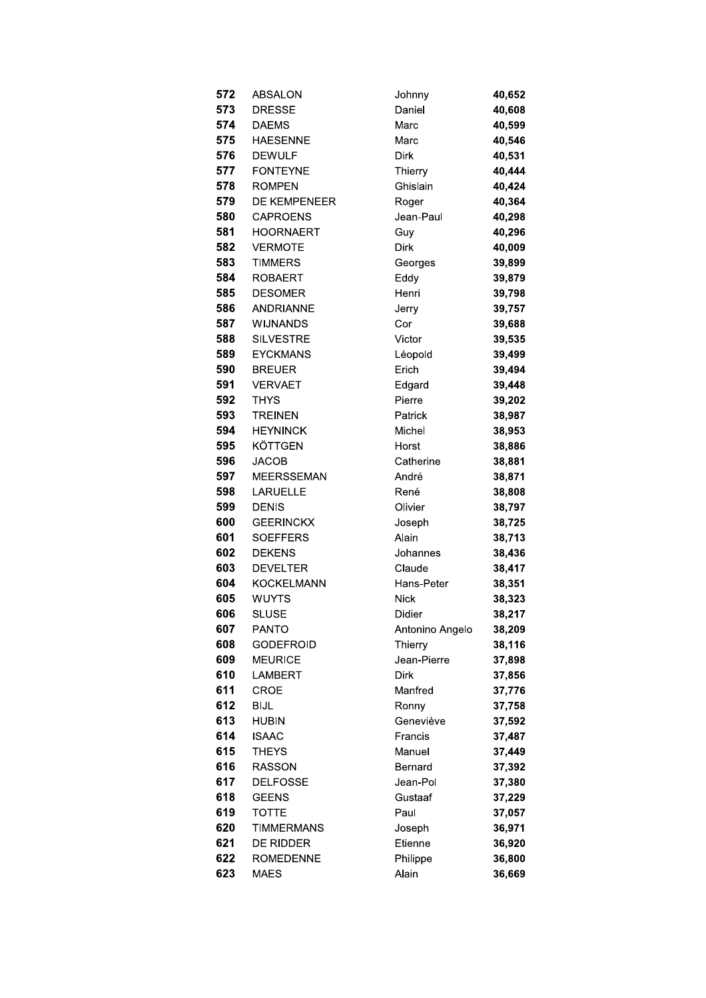| 572        | <b>ABSALON</b>                   | Johnny              | 40,652           |
|------------|----------------------------------|---------------------|------------------|
| 573        | <b>DRESSE</b>                    | Daniel              | 40,608           |
| 574        | <b>DAEMS</b>                     | Marc                | 40,599           |
| 575        | <b>HAESENNE</b>                  | Marc                | 40,546           |
| 576        | <b>DEWULF</b>                    | <b>Dirk</b>         | 40,531           |
| 577        | <b>FONTEYNE</b>                  | Thierry             | 40,444           |
| 578        | <b>ROMPEN</b>                    | Ghislain            | 40,424           |
| 579        | <b>DE KEMPENEER</b>              | Roger               | 40,364           |
| 580        | <b>CAPROENS</b>                  | Jean-Paul           | 40,298           |
| 581        | <b>HOORNAERT</b>                 | Guy                 | 40,296           |
| 582        | <b>VERMOTE</b>                   | Dirk                | 40,009           |
| 583        | <b>TIMMERS</b>                   | Georges             | 39,899           |
| 584        | <b>ROBAERT</b>                   | Eddy                | 39,879           |
| 585        | <b>DESOMER</b>                   | Henri               | 39,798           |
| 586        | <b>ANDRIANNE</b>                 | Jerry               | 39,757           |
| 587        | <b>WIJNANDS</b>                  | Cor                 | 39,688           |
| 588        | <b>SILVESTRE</b>                 | Victor              | 39,535           |
| 589        | <b>EYCKMANS</b>                  | Léopold             | 39,499           |
| 590        | <b>BREUER</b>                    | Erich               | 39,494           |
| 591        | <b>VERVAET</b>                   | Edgard              | 39,448           |
| 592        | <b>THYS</b>                      | Pierre              | 39,202           |
| 593        | <b>TREINEN</b>                   | Patrick             | 38,987           |
| 594        | <b>HEYNINCK</b>                  | Michel              | 38,953           |
| 595        | KÖTTGEN                          | Horst               | 38,886           |
| 596        | <b>JACOB</b>                     | Catherine           | 38,881           |
| 597        | <b>MEERSSEMAN</b>                | André               | 38,871           |
| 598        | LARUELLE                         | René                | 38,808           |
| 599        | <b>DENIS</b>                     | Olivier             | 38,797           |
| 600        | <b>GEERINCKX</b>                 | Joseph              | 38,725           |
| 601        | <b>SOEFFERS</b>                  | Alain               | 38,713           |
| 602        | <b>DEKENS</b>                    | Johannes            | 38,436           |
| 603        | <b>DEVELTER</b>                  | Claude              | 38,417           |
| 604        | <b>KOCKELMANN</b>                | Hans-Peter          | 38,351           |
| 605        | <b>WUYTS</b>                     | <b>Nick</b>         | 38,323           |
| 606        | SLUSE                            | Didier              | 38,217           |
| 607        | <b>PANTO</b>                     | Antonino Angelo     | 38,209           |
| 608        | <b>GODEFROID</b>                 | Thierry             | 38,116           |
| 609        | <b>MEURICE</b>                   | Jean-Pierre         | 37,898           |
| 610        | LAMBERT                          | <b>Dirk</b>         | 37,856           |
| 611        | <b>CROE</b>                      | Manfred             | 37,776           |
| 612<br>613 | <b>BIJL</b><br><b>HUBIN</b>      | Ronny               | 37,758           |
| 614        |                                  | Geneviève           | 37,592           |
| 615        | <b>ISAAC</b><br><b>THEYS</b>     | Francis<br>Manuel   | 37,487<br>37,449 |
| 616        |                                  |                     |                  |
| 617        | <b>RASSON</b><br><b>DELFOSSE</b> | Bernard<br>Jean-Pol | 37,392<br>37,380 |
| 618        | <b>GEENS</b>                     | Gustaaf             | 37,229           |
| 619        | TOTTE                            | Paul                | 37,057           |
| 620        | TIMMERMANS                       | Joseph              | 36,971           |
| 621        | DE RIDDER                        | Etienne             | 36,920           |
| 622        | <b>ROMEDENNE</b>                 | Philippe            | 36,800           |
| 623        | <b>MAES</b>                      | Alain               | 36,669           |
|            |                                  |                     |                  |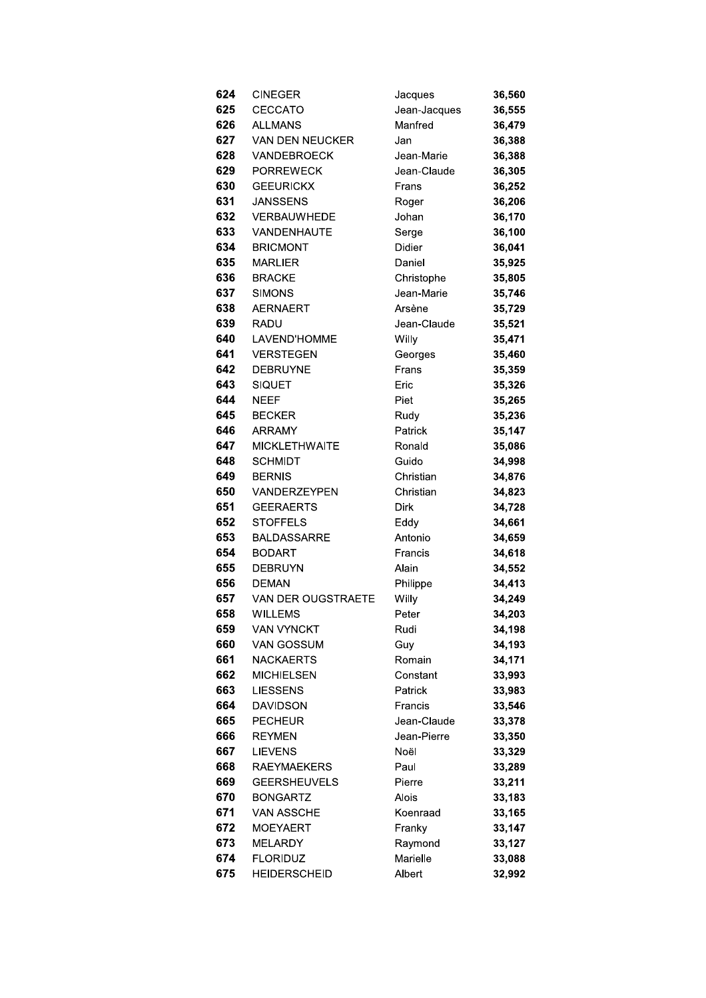| CINEGER                   | Jacques                                                                                                                                                                                                                                                                                                                      | 36,560                                                                                                                                                                                                                                                    |
|---------------------------|------------------------------------------------------------------------------------------------------------------------------------------------------------------------------------------------------------------------------------------------------------------------------------------------------------------------------|-----------------------------------------------------------------------------------------------------------------------------------------------------------------------------------------------------------------------------------------------------------|
| <b>CECCATO</b>            |                                                                                                                                                                                                                                                                                                                              | 36,555                                                                                                                                                                                                                                                    |
| <b>ALLMANS</b>            | Manfred                                                                                                                                                                                                                                                                                                                      | 36,479                                                                                                                                                                                                                                                    |
| <b>VAN DEN NEUCKER</b>    | Jan                                                                                                                                                                                                                                                                                                                          | 36,388                                                                                                                                                                                                                                                    |
| <b>VANDEBROECK</b>        | Jean-Marie                                                                                                                                                                                                                                                                                                                   | 36,388                                                                                                                                                                                                                                                    |
|                           |                                                                                                                                                                                                                                                                                                                              | 36,305                                                                                                                                                                                                                                                    |
| <b>GEEURICKX</b>          | Frans                                                                                                                                                                                                                                                                                                                        | 36,252                                                                                                                                                                                                                                                    |
|                           |                                                                                                                                                                                                                                                                                                                              | 36,206                                                                                                                                                                                                                                                    |
|                           |                                                                                                                                                                                                                                                                                                                              | 36,170                                                                                                                                                                                                                                                    |
|                           |                                                                                                                                                                                                                                                                                                                              | 36,100                                                                                                                                                                                                                                                    |
|                           |                                                                                                                                                                                                                                                                                                                              | 36,041                                                                                                                                                                                                                                                    |
| <b>MARLIER</b>            | Daniel                                                                                                                                                                                                                                                                                                                       | 35,925                                                                                                                                                                                                                                                    |
| <b>BRACKE</b>             |                                                                                                                                                                                                                                                                                                                              | 35,805                                                                                                                                                                                                                                                    |
| <b>SIMONS</b>             | Jean-Marie                                                                                                                                                                                                                                                                                                                   | 35,746                                                                                                                                                                                                                                                    |
| <b>AERNAERT</b>           | Arsène                                                                                                                                                                                                                                                                                                                       | 35,729                                                                                                                                                                                                                                                    |
| RADU                      |                                                                                                                                                                                                                                                                                                                              | 35,521                                                                                                                                                                                                                                                    |
|                           |                                                                                                                                                                                                                                                                                                                              | 35,471                                                                                                                                                                                                                                                    |
| <b>VERSTEGEN</b>          |                                                                                                                                                                                                                                                                                                                              | 35,460                                                                                                                                                                                                                                                    |
|                           |                                                                                                                                                                                                                                                                                                                              | 35,359                                                                                                                                                                                                                                                    |
|                           | Eric                                                                                                                                                                                                                                                                                                                         | 35,326                                                                                                                                                                                                                                                    |
|                           |                                                                                                                                                                                                                                                                                                                              | 35,265                                                                                                                                                                                                                                                    |
|                           |                                                                                                                                                                                                                                                                                                                              | 35,236                                                                                                                                                                                                                                                    |
|                           |                                                                                                                                                                                                                                                                                                                              | 35,147                                                                                                                                                                                                                                                    |
|                           |                                                                                                                                                                                                                                                                                                                              | 35,086                                                                                                                                                                                                                                                    |
|                           |                                                                                                                                                                                                                                                                                                                              | 34,998                                                                                                                                                                                                                                                    |
|                           |                                                                                                                                                                                                                                                                                                                              | 34,876                                                                                                                                                                                                                                                    |
|                           |                                                                                                                                                                                                                                                                                                                              | 34,823                                                                                                                                                                                                                                                    |
|                           |                                                                                                                                                                                                                                                                                                                              | 34,728                                                                                                                                                                                                                                                    |
|                           |                                                                                                                                                                                                                                                                                                                              | 34,661                                                                                                                                                                                                                                                    |
| <b>BALDASSARRE</b>        | Antonio                                                                                                                                                                                                                                                                                                                      | 34,659                                                                                                                                                                                                                                                    |
|                           | Francis                                                                                                                                                                                                                                                                                                                      | 34,618                                                                                                                                                                                                                                                    |
| <b>DEBRUYN</b>            |                                                                                                                                                                                                                                                                                                                              | 34,552                                                                                                                                                                                                                                                    |
| <b>DEMAN</b>              |                                                                                                                                                                                                                                                                                                                              | 34,413                                                                                                                                                                                                                                                    |
| <b>VAN DER OUGSTRAETE</b> |                                                                                                                                                                                                                                                                                                                              | 34,249                                                                                                                                                                                                                                                    |
| WILLEMS                   |                                                                                                                                                                                                                                                                                                                              | 34,203                                                                                                                                                                                                                                                    |
| <b>VAN VYNCKT</b>         | Rudi                                                                                                                                                                                                                                                                                                                         | 34,198                                                                                                                                                                                                                                                    |
| VAN GOSSUM                | Guy                                                                                                                                                                                                                                                                                                                          | 34,193                                                                                                                                                                                                                                                    |
| <b>NACKAERTS</b>          | Romain                                                                                                                                                                                                                                                                                                                       | 34,171                                                                                                                                                                                                                                                    |
| <b>MICHIELSEN</b>         | Constant                                                                                                                                                                                                                                                                                                                     | 33,993                                                                                                                                                                                                                                                    |
| <b>LIESSENS</b>           | Patrick                                                                                                                                                                                                                                                                                                                      | 33,983                                                                                                                                                                                                                                                    |
| <b>DAVIDSON</b>           | Francis                                                                                                                                                                                                                                                                                                                      | 33,546                                                                                                                                                                                                                                                    |
| <b>PECHEUR</b>            | Jean-Claude                                                                                                                                                                                                                                                                                                                  | 33,378                                                                                                                                                                                                                                                    |
| <b>REYMEN</b>             | Jean-Pierre                                                                                                                                                                                                                                                                                                                  | 33,350                                                                                                                                                                                                                                                    |
| <b>LIEVENS</b>            | Noël                                                                                                                                                                                                                                                                                                                         | 33,329                                                                                                                                                                                                                                                    |
| <b>RAEYMAEKERS</b>        | Paul                                                                                                                                                                                                                                                                                                                         | 33,289                                                                                                                                                                                                                                                    |
| <b>GEERSHEUVELS</b>       | Pierre                                                                                                                                                                                                                                                                                                                       | 33,211                                                                                                                                                                                                                                                    |
| <b>BONGARTZ</b>           | Alois                                                                                                                                                                                                                                                                                                                        | 33,183                                                                                                                                                                                                                                                    |
| VAN ASSCHE                | Koenraad                                                                                                                                                                                                                                                                                                                     | 33,165                                                                                                                                                                                                                                                    |
| <b>MOEYAERT</b>           | Franky                                                                                                                                                                                                                                                                                                                       | 33,147                                                                                                                                                                                                                                                    |
| <b>MELARDY</b>            | Raymond                                                                                                                                                                                                                                                                                                                      | 33,127                                                                                                                                                                                                                                                    |
| <b>FLORIDUZ</b>           | Marielle                                                                                                                                                                                                                                                                                                                     | 33,088                                                                                                                                                                                                                                                    |
| HEIDERSCHEID              | Albert                                                                                                                                                                                                                                                                                                                       | 32,992                                                                                                                                                                                                                                                    |
|                           | <b>PORREWECK</b><br><b>JANSSENS</b><br>VERBAUWHEDE<br>VANDENHAUTE<br><b>BRICMONT</b><br>LAVEND'HOMME<br><b>DEBRUYNE</b><br><b>SIQUET</b><br><b>NEEF</b><br><b>BECKER</b><br><b>ARRAMY</b><br><b>MICKLETHWAITE</b><br><b>SCHMIDT</b><br><b>BERNIS</b><br>VANDERZEYPEN<br><b>GEERAERTS</b><br><b>STOFFELS</b><br><b>BODART</b> | Jean-Jacques<br>Jean-Claude<br>Roger<br>Johan<br>Serge<br>Didier<br>Christophe<br>Jean-Claude<br>Willy<br>Georges<br>Frans<br>Piet<br>Rudy<br>Patrick<br>Ronald<br>Guido<br>Christian<br>Christian<br>Dirk<br>Eddy<br>Alain<br>Philippe<br>Willy<br>Peter |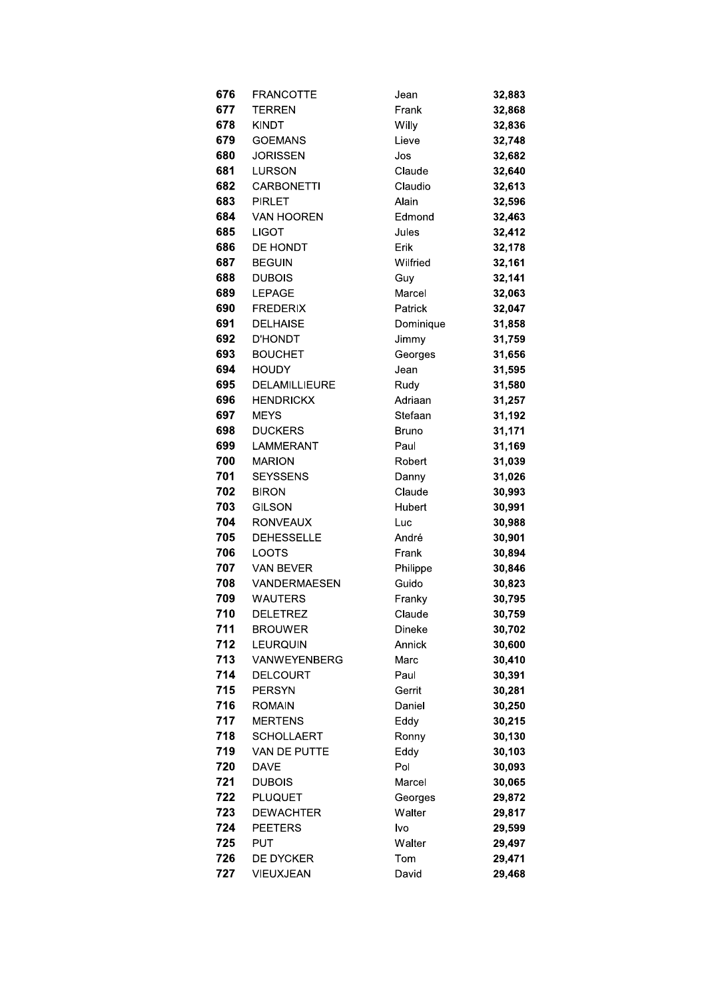| 676        | <b>FRANCOTTE</b>             | Jean              | 32,883           |
|------------|------------------------------|-------------------|------------------|
| 677        | <b>TERREN</b>                | Frank             | 32,868           |
| 678        | <b>KINDT</b>                 | Willy             | 32,836           |
| 679        | <b>GOEMANS</b>               | Lieve             | 32,748           |
| 680        | <b>JORISSEN</b>              | Jos               | 32,682           |
| 681        | <b>LURSON</b>                | Claude            | 32,640           |
| 682        | <b>CARBONETTI</b>            | Claudio           | 32,613           |
| 683        | <b>PIRLET</b>                | Alain             | 32,596           |
| 684        | <b>VAN HOOREN</b>            | Edmond            | 32,463           |
| 685        | <b>LIGOT</b>                 | Jules             | 32,412           |
| 686        | DE HONDT                     | Erik              | 32,178           |
| 687        | <b>BEGUIN</b>                | Wilfried          | 32,161           |
| 688        | <b>DUBOIS</b>                | Guy               | 32,141           |
| 689        | <b>LEPAGE</b>                | Marcel            | 32,063           |
| 690        | <b>FREDERIX</b>              | Patrick           | 32,047           |
| 691        | <b>DELHAISE</b>              | Dominique         | 31,858           |
| 692        | <b>D'HONDT</b>               | Jimmy             | 31,759           |
| 693        | <b>BOUCHET</b>               | Georges           | 31,656           |
| 694        | <b>HOUDY</b>                 | Jean              | 31,595           |
| 695        | <b>DELAMILLIEURE</b>         | Rudy              | 31,580           |
| 696        | <b>HENDRICKX</b>             | Adriaan           | 31,257           |
| 697        | <b>MEYS</b>                  | Stefaan           | 31,192           |
| 698        | <b>DUCKERS</b>               | <b>Bruno</b>      | 31,171           |
| 699        | LAMMERANT                    | Paul              | 31,169           |
| 700        | <b>MARION</b>                | Robert            | 31,039           |
| 701        | <b>SEYSSENS</b>              |                   |                  |
| 702        | <b>BIRON</b>                 | Danny<br>Claude   | 31,026           |
| 703        | <b>GILSON</b>                | Hubert            | 30,993           |
| 704        |                              |                   | 30,991           |
|            | <b>RONVEAUX</b>              | Luc               | 30,988           |
| 705<br>706 | <b>DEHESSELLE</b>            | André             | 30,901           |
| 707        | <b>LOOTS</b><br>VAN BEVER    | Frank             | 30,894           |
| 708        | <b>VANDERMAESEN</b>          | Philippe<br>Guido | 30,846           |
| 709        | <b>WAUTERS</b>               | Franky            | 30,823           |
| 710        |                              |                   | 30,795           |
| 711        | DELETREZ<br><b>BROUWER</b>   | Claude<br>Dineke  | 30,759           |
| 712        | <b>LEURQUIN</b>              | Annick            | 30,702<br>30,600 |
| 713        | <b>VANWEYENBERG</b>          | Marc              | 30,410           |
| 714        | <b>DELCOURT</b>              | Paul              | 30,391           |
| 715        | <b>PERSYN</b>                | Gerrit            | 30,281           |
| 716        | <b>ROMAIN</b>                | Daniel            | 30,250           |
| 717        | <b>MERTENS</b>               | Eddy              | 30,215           |
| 718        | <b>SCHOLLAERT</b>            |                   |                  |
| 719        | VAN DE PUTTE                 | Ronny             | 30,130           |
|            |                              | Eddy              | 30,103           |
| 720        | <b>DAVE</b>                  | Pol               | 30,093           |
| 721        | <b>DUBOIS</b>                | Marcel            | 30,065           |
| 722        | <b>PLUQUET</b>               | Georges           | 29,872           |
| 723        | <b>DEWACHTER</b>             | Walter            | 29,817           |
| 724<br>725 | <b>PEETERS</b><br><b>PUT</b> | lvo               | 29,599           |
|            |                              | Walter            | 29,497           |
| 726        | <b>DE DYCKER</b>             | Tom               | 29,471           |
| 727        | VIEUXJEAN                    | David             | 29,468           |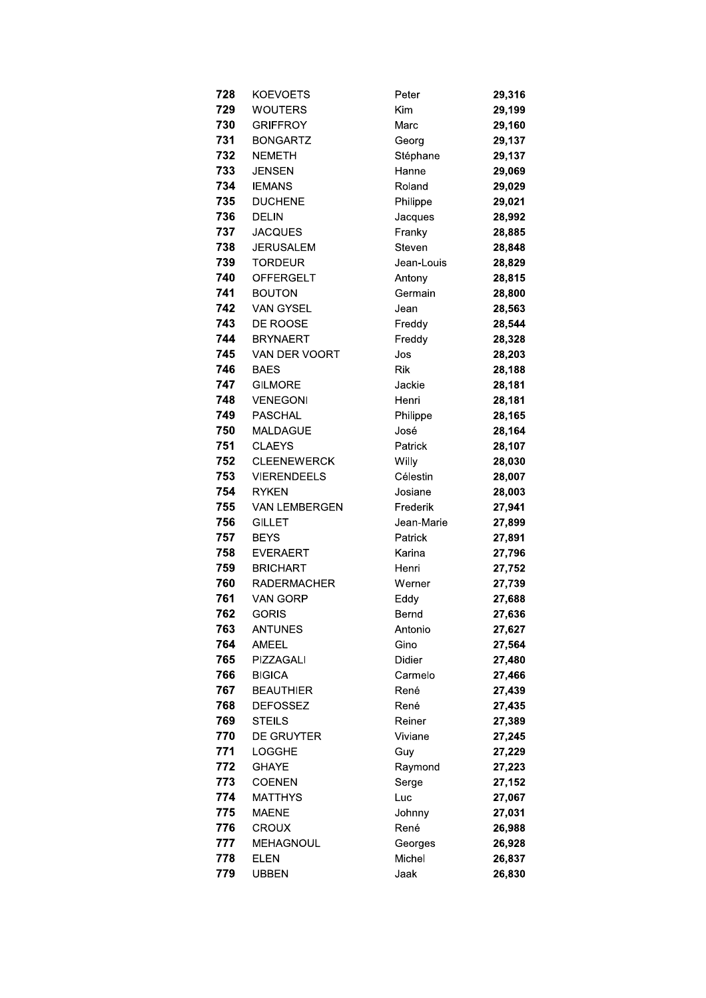| 728 | <b>KOEVOETS</b>      | Peter      | 29,316 |
|-----|----------------------|------------|--------|
| 729 | <b>WOUTERS</b>       | Kim        | 29,199 |
| 730 | <b>GRIFFROY</b>      | Marc       | 29,160 |
| 731 | <b>BONGARTZ</b>      | Georg      | 29,137 |
| 732 | <b>NEMETH</b>        | Stéphane   | 29,137 |
| 733 | <b>JENSEN</b>        | Hanne      | 29,069 |
| 734 | <b>IEMANS</b>        | Roland     | 29,029 |
| 735 | <b>DUCHENE</b>       | Philippe   | 29,021 |
| 736 | <b>DELIN</b>         | Jacques    | 28,992 |
| 737 | <b>JACQUES</b>       | Franky     | 28,885 |
| 738 | <b>JERUSALEM</b>     | Steven     | 28,848 |
| 739 | <b>TORDEUR</b>       | Jean-Louis | 28,829 |
| 740 | <b>OFFERGELT</b>     | Antony     | 28,815 |
| 741 | <b>BOUTON</b>        | Germain    | 28,800 |
| 742 | <b>VAN GYSEL</b>     | Jean       | 28,563 |
| 743 | DE ROOSE             | Freddy     | 28,544 |
| 744 | <b>BRYNAERT</b>      | Freddy     | 28,328 |
| 745 | VAN DER VOORT        | Jos        | 28,203 |
| 746 | <b>BAES</b>          | <b>Rik</b> | 28,188 |
| 747 | <b>GILMORE</b>       | Jackie     | 28,181 |
| 748 | <b>VENEGONI</b>      | Henri      | 28,181 |
| 749 | <b>PASCHAL</b>       | Philippe   | 28,165 |
| 750 | <b>MALDAGUE</b>      | José       | 28,164 |
| 751 | <b>CLAEYS</b>        | Patrick    | 28,107 |
| 752 | <b>CLEENEWERCK</b>   | Willy      | 28,030 |
| 753 | <b>VIERENDEELS</b>   | Célestin   | 28,007 |
| 754 | <b>RYKEN</b>         | Josiane    | 28,003 |
| 755 | <b>VAN LEMBERGEN</b> | Frederik   | 27,941 |
| 756 | <b>GILLET</b>        | Jean-Marie | 27,899 |
| 757 | <b>BEYS</b>          | Patrick    | 27,891 |
| 758 | <b>EVERAERT</b>      | Karina     | 27,796 |
| 759 | <b>BRICHART</b>      | Henri      | 27,752 |
| 760 | <b>RADERMACHER</b>   | Werner     | 27,739 |
| 761 | VAN GORP             | Eddy       | 27,688 |
| 762 | <b>GORIS</b>         | Bernd      | 27,636 |
| 763 | <b>ANTUNES</b>       | Antonio    | 27,627 |
| 764 | <b>AMEEL</b>         | Gino       | 27,564 |
| 765 | PIZZAGALI            | Didier     | 27,480 |
| 766 | <b>BIGICA</b>        | Carmelo    | 27,466 |
| 767 | <b>BEAUTHIER</b>     | René       | 27,439 |
| 768 | <b>DEFOSSEZ</b>      | René       | 27,435 |
| 769 | <b>STEILS</b>        | Reiner     | 27,389 |
| 770 | DE GRUYTER           | Viviane    | 27,245 |
| 771 | <b>LOGGHE</b>        | Guy        | 27,229 |
| 772 | <b>GHAYE</b>         | Raymond    | 27,223 |
| 773 | <b>COENEN</b>        | Serge      | 27,152 |
| 774 | <b>MATTHYS</b>       | Luc        | 27,067 |
| 775 | <b>MAENE</b>         | Johnny     | 27,031 |
| 776 | <b>CROUX</b>         | René       | 26,988 |
| 777 | <b>MEHAGNOUL</b>     | Georges    | 26,928 |
| 778 | <b>ELEN</b>          | Michel     | 26,837 |
| 779 | <b>UBBEN</b>         | Jaak       | 26,830 |
|     |                      |            |        |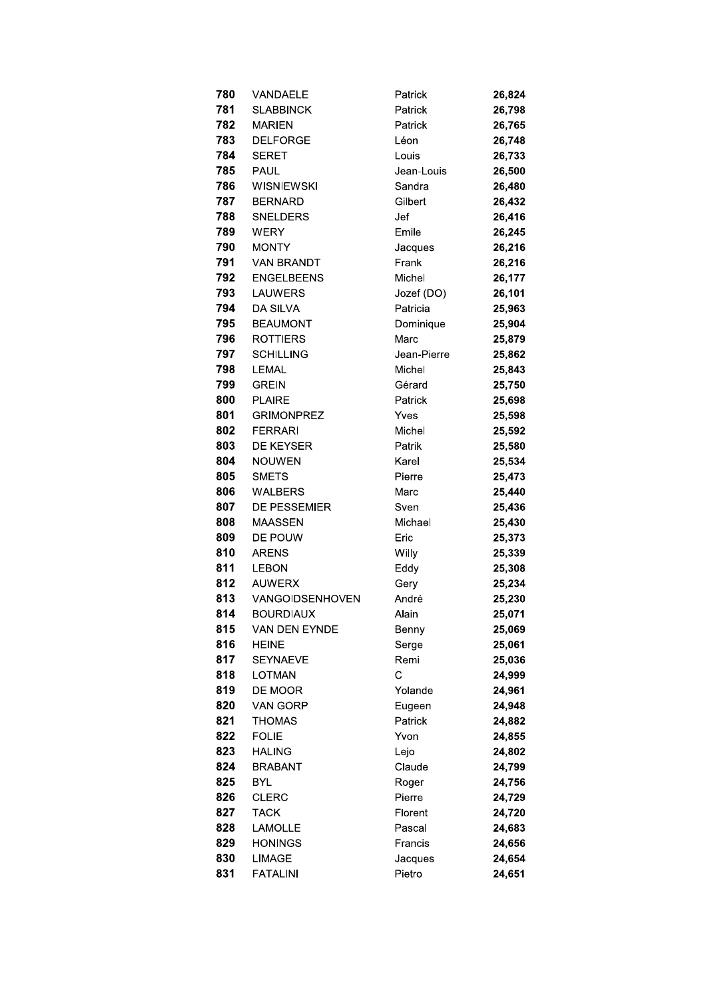| 780 | VANDAELE               | Patrick     | 26,824 |
|-----|------------------------|-------------|--------|
| 781 | <b>SLABBINCK</b>       | Patrick     | 26,798 |
| 782 | <b>MARIEN</b>          | Patrick     | 26,765 |
| 783 | <b>DELFORGE</b>        | Léon        | 26,748 |
| 784 | <b>SERET</b>           | Louis       | 26,733 |
| 785 | <b>PAUL</b>            | Jean-Louis  | 26,500 |
| 786 | <b>WISNIEWSKI</b>      | Sandra      | 26,480 |
| 787 | <b>BERNARD</b>         | Gilbert     | 26,432 |
| 788 | <b>SNELDERS</b>        | Jef         | 26,416 |
| 789 | <b>WERY</b>            | Emile       | 26,245 |
| 790 | <b>MONTY</b>           | Jacques     | 26,216 |
| 791 | <b>VAN BRANDT</b>      | Frank       | 26,216 |
| 792 | <b>ENGELBEENS</b>      | Michel      | 26,177 |
| 793 | <b>LAUWERS</b>         | Jozef (DO)  | 26,101 |
| 794 | <b>DA SILVA</b>        | Patricia    | 25,963 |
| 795 | <b>BEAUMONT</b>        | Dominique   | 25,904 |
| 796 | <b>ROTTIERS</b>        | Marc        | 25,879 |
| 797 | <b>SCHILLING</b>       | Jean-Pierre | 25,862 |
| 798 | <b>LEMAL</b>           | Michel      | 25,843 |
| 799 | <b>GREIN</b>           | Gérard      | 25,750 |
| 800 | <b>PLAIRE</b>          | Patrick     | 25,698 |
| 801 | <b>GRIMONPREZ</b>      | Yves        | 25,598 |
| 802 | <b>FERRARI</b>         | Michel      | 25,592 |
| 803 | <b>DE KEYSER</b>       | Patrik      | 25,580 |
| 804 | <b>NOUWEN</b>          | Karel       | 25,534 |
| 805 | <b>SMETS</b>           | Pierre      | 25,473 |
| 806 | WALBERS                | Marc        | 25,440 |
| 807 | DE PESSEMIER           | Sven        | 25,436 |
| 808 | <b>MAASSEN</b>         | Michael     | 25,430 |
| 809 | DE POUW                | Eric        | 25,373 |
| 810 | <b>ARENS</b>           | Willy       | 25,339 |
| 811 | <b>LEBON</b>           | Eddy        | 25,308 |
| 812 | <b>AUWERX</b>          | Gery        | 25,234 |
| 813 | <b>VANGOIDSENHOVEN</b> | André       | 25,230 |
| 814 | <b>BOURDIAUX</b>       | Alain       | 25,071 |
| 815 | VAN DEN EYNDE          | Benny       | 25,069 |
| 816 | <b>HEINE</b>           | Serge       | 25,061 |
| 817 | <b>SEYNAEVE</b>        | Remi        | 25,036 |
| 818 | <b>LOTMAN</b>          | C           | 24,999 |
| 819 | DE MOOR                | Yolande     | 24,961 |
| 820 | <b>VAN GORP</b>        | Eugeen      | 24,948 |
| 821 | <b>THOMAS</b>          | Patrick     | 24,882 |
| 822 | <b>FOLIE</b>           | Yvon        | 24,855 |
| 823 | <b>HALING</b>          | Lejo        | 24,802 |
| 824 | <b>BRABANT</b>         | Claude      | 24,799 |
| 825 | <b>BYL</b>             | Roger       | 24,756 |
| 826 | <b>CLERC</b>           | Pierre      | 24,729 |
| 827 | <b>TACK</b>            | Florent     | 24,720 |
| 828 | <b>LAMOLLE</b>         | Pascal      | 24,683 |
| 829 | <b>HONINGS</b>         | Francis     | 24,656 |
| 830 | <b>LIMAGE</b>          | Jacques     | 24,654 |
| 831 | <b>FATALINI</b>        | Pietro      | 24,651 |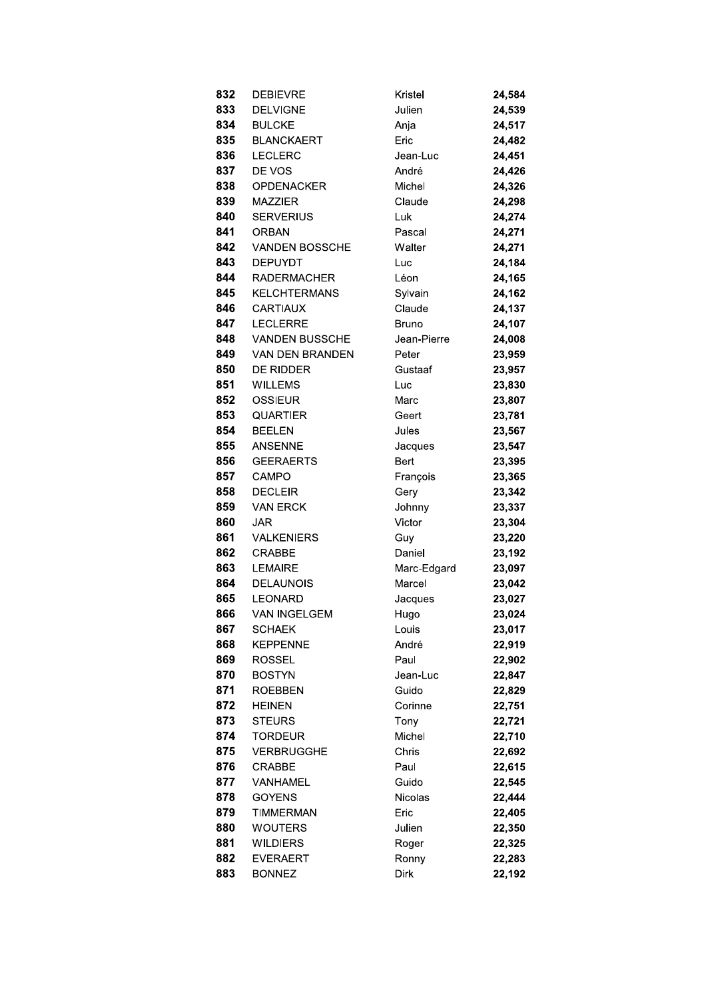| 832        | <b>DEBIEVRE</b>                 | Kristel          | 24,584           |
|------------|---------------------------------|------------------|------------------|
| 833        | <b>DELVIGNE</b>                 | Julien           | 24,539           |
| 834        | <b>BULCKE</b>                   | Anja             | 24,517           |
| 835        | <b>BLANCKAERT</b>               | Eric             | 24,482           |
| 836        | <b>LECLERC</b>                  | Jean-Luc         | 24,451           |
| 837        | DE VOS                          | André            | 24,426           |
| 838        | <b>OPDENACKER</b>               | Michel           | 24,326           |
| 839        | <b>MAZZIER</b>                  | Claude           | 24,298           |
| 840        | <b>SERVERIUS</b>                | Luk              | 24,274           |
| 841        | <b>ORBAN</b>                    | Pascal           | 24,271           |
| 842        | VANDEN BOSSCHE                  | Walter           | 24,271           |
| 843        | <b>DEPUYDT</b>                  | Luc              | 24,184           |
| 844        | <b>RADERMACHER</b>              | Léon             | 24,165           |
| 845        | <b>KELCHTERMANS</b>             | Sylvain          | 24,162           |
| 846        | <b>CARTIAUX</b>                 | Claude           | 24,137           |
| 847        | <b>LECLERRE</b>                 | Bruno            | 24,107           |
| 848        | <b>VANDEN BUSSCHE</b>           | Jean-Pierre      | 24,008           |
| 849        | <b>VAN DEN BRANDEN</b>          | Peter            | 23,959           |
| 850        | <b>DE RIDDER</b>                | Gustaaf          | 23,957           |
| 851        | <b>WILLEMS</b>                  | Luc              | 23,830           |
| 852        | <b>OSSIEUR</b>                  | Marc             | 23,807           |
| 853        | <b>QUARTIER</b>                 | Geert            | 23,781           |
| 854        | <b>BEELEN</b>                   | Jules            | 23,567           |
| 855        | <b>ANSENNE</b>                  | Jacques          | 23,547           |
| 856        | <b>GEERAERTS</b>                | <b>Bert</b>      | 23,395           |
| 857        | CAMPO                           | François         | 23,365           |
| 858        | <b>DECLEIR</b>                  | Gery             | 23,342           |
| 859        | <b>VAN ERCK</b>                 | Johnny           | 23,337           |
| 860        | JAR                             | Victor           | 23,304           |
| 861        | <b>VALKENIERS</b>               | Guy              | 23,220           |
| 862        | <b>CRABBE</b>                   | Daniel           | 23,192           |
| 863        | <b>LEMAIRE</b>                  | Marc-Edgard      | 23,097           |
| 864        | <b>DELAUNOIS</b>                | Marcel           | 23,042           |
| 865        | <b>LEONARD</b>                  | Jacques          | 23,027           |
| 866        | VAN INGELGEM                    | Hugo             | 23,024           |
| 867        | <b>SCHAEK</b>                   | Louis            | 23,017           |
| 868        | <b>KEPPENNE</b>                 | André            | 22,919           |
| 869        | <b>ROSSEL</b>                   | Paul             | 22,902           |
| 870        | <b>BOSTYN</b><br><b>ROEBBEN</b> | Jean-Luc         | 22,847           |
| 871<br>872 | <b>HEINEN</b>                   | Guido<br>Corinne | 22,829           |
| 873        | <b>STEURS</b>                   | Tony             | 22,751<br>22,721 |
| 874        | <b>TORDEUR</b>                  | Michel           | 22,710           |
| 875        | <b>VERBRUGGHE</b>               | Chris            | 22,692           |
| 876        | <b>CRABBE</b>                   | Paul             | 22,615           |
| 877        | VANHAMEL                        | Guido            | 22,545           |
| 878        | <b>GOYENS</b>                   | Nicolas          | 22,444           |
| 879        | TIMMERMAN                       | Eric             | 22,405           |
| 880        | WOUTERS                         | Julien           | 22,350           |
| 881        | <b>WILDIERS</b>                 | Roger            | 22,325           |
| 882        | <b>EVERAERT</b>                 | Ronny            | 22,283           |
| 883        | <b>BONNEZ</b>                   | Dirk             | 22,192           |
|            |                                 |                  |                  |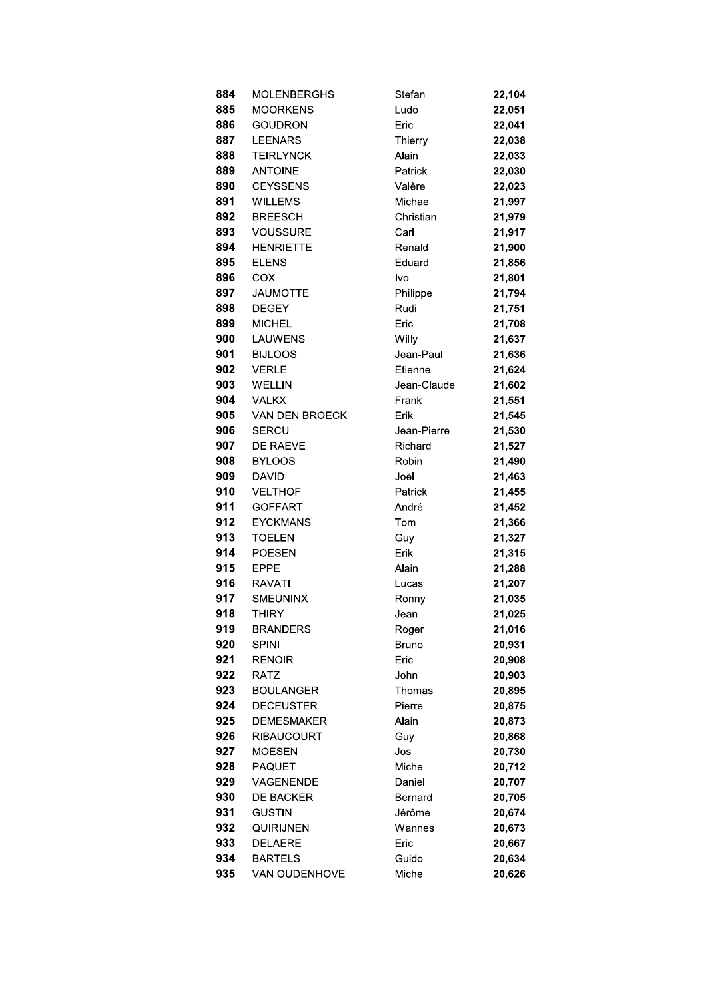| 884 | <b>MOLENBERGHS</b>    | Stefan      | 22,104 |
|-----|-----------------------|-------------|--------|
| 885 | <b>MOORKENS</b>       | Ludo        | 22,051 |
| 886 | <b>GOUDRON</b>        | Eric        | 22,041 |
| 887 | <b>LEENARS</b>        | Thierry     | 22,038 |
| 888 | <b>TEIRLYNCK</b>      | Alain       | 22,033 |
| 889 | <b>ANTOINE</b>        | Patrick     | 22,030 |
| 890 | <b>CEYSSENS</b>       | Valère      | 22,023 |
| 891 | <b>WILLEMS</b>        | Michael     | 21,997 |
| 892 | <b>BREESCH</b>        | Christian   | 21,979 |
| 893 | <b>VOUSSURE</b>       | Carl        | 21,917 |
| 894 | <b>HENRIETTE</b>      | Renald      | 21,900 |
| 895 | <b>ELENS</b>          | Eduard      | 21,856 |
| 896 | COX                   | Ivo         | 21,801 |
| 897 | <b>JAUMOTTE</b>       | Philippe    | 21,794 |
| 898 | <b>DEGEY</b>          | Rudi        | 21,751 |
| 899 | <b>MICHEL</b>         | Eric        | 21,708 |
| 900 | <b>LAUWENS</b>        | Willy       | 21,637 |
| 901 | <b>BIJLOOS</b>        | Jean-Paul   | 21,636 |
| 902 | <b>VERLE</b>          | Etienne     | 21,624 |
| 903 | <b>WELLIN</b>         | Jean-Claude | 21,602 |
| 904 | <b>VALKX</b>          | Frank       | 21,551 |
| 905 | <b>VAN DEN BROECK</b> | Erik        | 21,545 |
| 906 | <b>SERCU</b>          | Jean-Pierre | 21,530 |
| 907 | DE RAEVE              | Richard     | 21,527 |
| 908 | <b>BYLOOS</b>         | Robin       | 21,490 |
| 909 | <b>DAVID</b>          | Joël        | 21,463 |
| 910 | <b>VELTHOF</b>        | Patrick     | 21,455 |
| 911 | <b>GOFFART</b>        | André       | 21,452 |
| 912 | <b>EYCKMANS</b>       | Tom         | 21,366 |
| 913 | <b>TOELEN</b>         | Guy         | 21,327 |
| 914 | <b>POESEN</b>         | Erik        | 21,315 |
| 915 | <b>EPPE</b>           | Alain       | 21,288 |
| 916 | <b>RAVATI</b>         | Lucas       | 21,207 |
| 917 | <b>SMEUNINX</b>       | Ronny       | 21,035 |
| 918 | THIRY                 | Jean        | 21,025 |
| 919 | <b>BRANDERS</b>       | Roger       | 21,016 |
| 920 | <b>SPINI</b>          | Bruno       | 20,931 |
| 921 | <b>RENOIR</b>         | Eric        | 20,908 |
| 922 | <b>RATZ</b>           | John        | 20,903 |
| 923 | <b>BOULANGER</b>      | Thomas      | 20,895 |
| 924 | <b>DECEUSTER</b>      | Pierre      | 20,875 |
| 925 | <b>DEMESMAKER</b>     | Alain       | 20,873 |
| 926 | RIBAUCOURT            | Guy         | 20,868 |
| 927 | <b>MOESEN</b>         | Jos         | 20,730 |
| 928 | <b>PAQUET</b>         | Michel      | 20,712 |
| 929 | VAGENENDE             | Daniel      | 20,707 |
| 930 | <b>DE BACKER</b>      | Bernard     | 20,705 |
| 931 | <b>GUSTIN</b>         | Jérôme      | 20,674 |
| 932 | QUIRIJNEN             | Wannes      | 20,673 |
| 933 | <b>DELAERE</b>        | Eric        | 20,667 |
| 934 | <b>BARTELS</b>        | Guido       | 20,634 |
| 935 | <b>VAN OUDENHOVE</b>  | Michel      | 20,626 |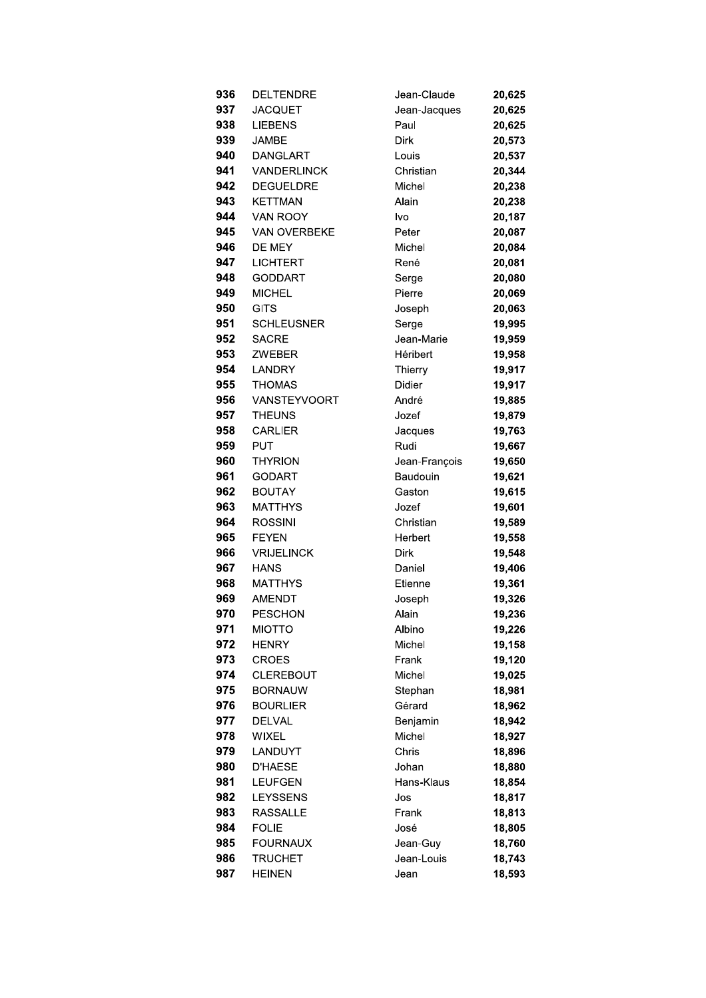| 936 | DELTENDRE           | Jean-Claude   | 20,625 |
|-----|---------------------|---------------|--------|
| 937 | <b>JACQUET</b>      | Jean-Jacques  | 20,625 |
| 938 | <b>LIEBENS</b>      | Paul          | 20,625 |
| 939 | <b>JAMBE</b>        | <b>Dirk</b>   | 20,573 |
| 940 | <b>DANGLART</b>     | Louis         | 20,537 |
| 941 | <b>VANDERLINCK</b>  | Christian     | 20,344 |
| 942 | <b>DEGUELDRE</b>    | Michel        | 20,238 |
| 943 | <b>KETTMAN</b>      | Alain         | 20,238 |
| 944 | VAN ROOY            | lvo           | 20,187 |
| 945 | <b>VAN OVERBEKE</b> | Peter         | 20,087 |
| 946 | DE MEY              | Michel        | 20,084 |
| 947 | <b>LICHTERT</b>     | René          | 20,081 |
| 948 | <b>GODDART</b>      | Serge         | 20,080 |
| 949 | <b>MICHEL</b>       | Pierre        | 20,069 |
| 950 | GITS                | Joseph        | 20,063 |
| 951 | <b>SCHLEUSNER</b>   | Serge         | 19,995 |
| 952 | <b>SACRE</b>        | Jean-Marie    | 19,959 |
| 953 | <b>ZWEBER</b>       | Héribert      | 19,958 |
| 954 | <b>LANDRY</b>       | Thierry       | 19,917 |
| 955 | <b>THOMAS</b>       | <b>Didier</b> | 19,917 |
| 956 | <b>VANSTEYVOORT</b> | André         | 19,885 |
| 957 | <b>THEUNS</b>       | Jozef         | 19,879 |
| 958 | <b>CARLIER</b>      | Jacques       | 19,763 |
| 959 | <b>PUT</b>          | Rudi          | 19,667 |
| 960 | <b>THYRION</b>      | Jean-François | 19,650 |
| 961 | <b>GODART</b>       | Baudouin      | 19,621 |
| 962 | <b>BOUTAY</b>       | Gaston        | 19,615 |
| 963 | <b>MATTHYS</b>      | Jozef         | 19,601 |
| 964 | <b>ROSSINI</b>      | Christian     | 19,589 |
| 965 | <b>FEYEN</b>        | Herbert       | 19,558 |
| 966 | <b>VRIJELINCK</b>   | Dirk          | 19,548 |
| 967 | <b>HANS</b>         | Daniel        | 19,406 |
| 968 | MATTHYS             | Etienne       | 19,361 |
| 969 | <b>AMENDT</b>       | Joseph        | 19,326 |
| 970 | PESCHON             | Alain         | 19,236 |
| 971 | <b>MIOTTO</b>       | Albino        | 19,226 |
| 972 | <b>HENRY</b>        | Michel        | 19,158 |
| 973 | <b>CROES</b>        | Frank         | 19,120 |
| 974 | <b>CLEREBOUT</b>    | Michel        | 19,025 |
| 975 | <b>BORNAUW</b>      | Stephan       | 18,981 |
| 976 | <b>BOURLIER</b>     | Gérard        | 18,962 |
| 977 | <b>DELVAL</b>       | Benjamin      | 18,942 |
| 978 | WIXEL               | Michel        | 18,927 |
| 979 | LANDUYT             | Chris         | 18,896 |
| 980 | <b>D'HAESE</b>      | Johan         | 18,880 |
| 981 | <b>LEUFGEN</b>      | Hans-Klaus    | 18,854 |
| 982 | <b>LEYSSENS</b>     | Jos           | 18,817 |
| 983 | <b>RASSALLE</b>     | Frank         | 18,813 |
| 984 | <b>FOLIE</b>        | José          | 18,805 |
| 985 | <b>FOURNAUX</b>     | Jean-Guy      | 18,760 |
| 986 | <b>TRUCHET</b>      | Jean-Louis    | 18,743 |
| 987 | <b>HEINEN</b>       | Jean          | 18,593 |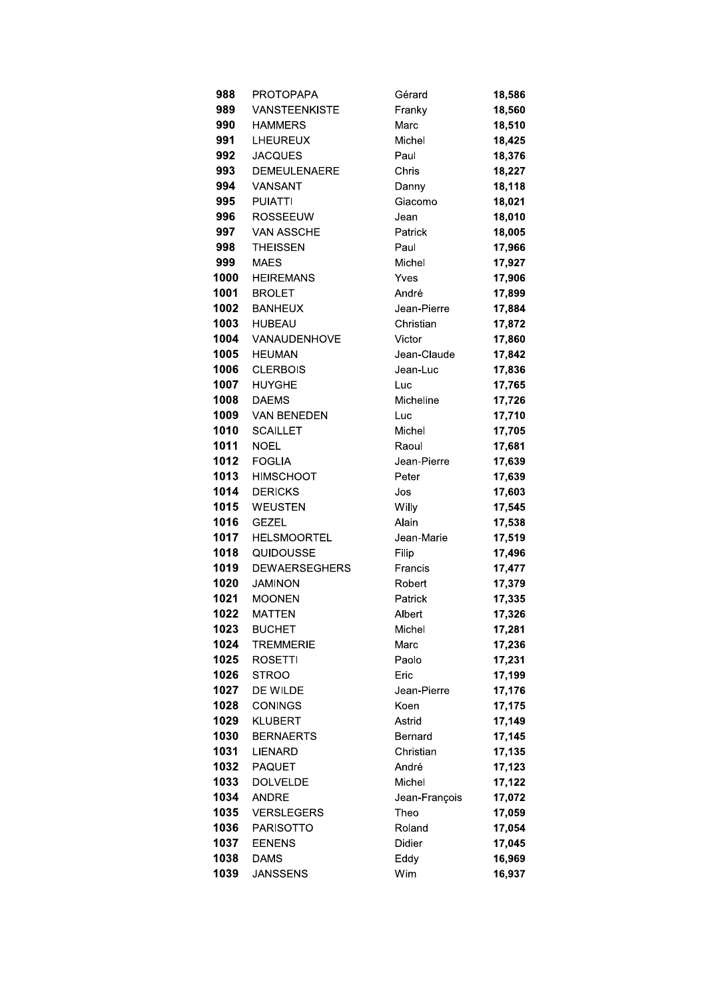| 988          | <b>PROTOPAPA</b>                | Gérard            | 18,586           |
|--------------|---------------------------------|-------------------|------------------|
| 989          | <b>VANSTEENKISTE</b>            | Franky            | 18,560           |
| 990          | <b>HAMMERS</b>                  | Marc              | 18,510           |
| 991          | <b>LHEUREUX</b>                 | Michel            | 18,425           |
| 992          | <b>JACQUES</b>                  | Paul              | 18,376           |
| 993          | DEMEULENAERE                    | Chris             | 18,227           |
| 994          | VANSANT                         | Danny             | 18,118           |
| 995          | <b>PUIATTI</b>                  | Giacomo           | 18,021           |
| 996          | <b>ROSSEEUW</b>                 | Jean              | 18,010           |
| 997          | <b>VAN ASSCHE</b>               | Patrick           | 18,005           |
| 998          | <b>THEISSEN</b>                 | Paul              | 17,966           |
| 999          | <b>MAES</b>                     | Michel            | 17,927           |
| 1000         | <b>HEIREMANS</b>                | Yves              | 17,906           |
| 1001         | <b>BROLET</b>                   | André             | 17,899           |
| 1002         | <b>BANHEUX</b>                  | Jean-Pierre       | 17,884           |
| 1003         | <b>HUBEAU</b>                   | Christian         | 17,872           |
| 1004         | VANAUDENHOVE                    | Victor            | 17,860           |
| 1005         | <b>HEUMAN</b>                   | Jean-Claude       | 17,842           |
| 1006         | <b>CLERBOIS</b>                 | Jean-Luc          | 17,836           |
| 1007         | <b>HUYGHE</b>                   | Luc               | 17,765           |
| 1008         | <b>DAEMS</b>                    | Micheline         | 17,726           |
| 1009         | <b>VAN BENEDEN</b>              | Luc               | 17,710           |
| 1010         | <b>SCAILLET</b>                 | Michel            | 17,705           |
| 1011         | <b>NOEL</b>                     | Raoul             | 17,681           |
| 1012         | <b>FOGLIA</b>                   | Jean-Pierre       | 17,639           |
| 1013         | <b>HIMSCHOOT</b>                | Peter             | 17,639           |
| 1014         | <b>DERICKS</b>                  | Jos               | 17,603           |
| 1015         | <b>WEUSTEN</b>                  | Willy             | 17,545           |
| 1016         | <b>GEZEL</b>                    | Alain             | 17,538           |
| 1017         | <b>HELSMOORTEL</b>              | Jean-Marie        | 17,519           |
| 1018         | QUIDOUSSE                       | Filip             | 17,496           |
| 1019         | <b>DEWAERSEGHERS</b>            | Francis           | 17,477           |
| 1020<br>1021 | <b>JAMINON</b><br><b>MOONEN</b> | Robert<br>Patrick | 17,379           |
| 1022         | MATTEN                          | Albert            | 17,335           |
| 1023         | <b>BUCHET</b>                   |                   | 17,326<br>17,281 |
| 1024         | <b>TREMMERIE</b>                | Michel<br>Marc    | 17,236           |
| 1025         | <b>ROSETTI</b>                  | Paolo             | 17,231           |
| 1026         | <b>STROO</b>                    | Eric              | 17,199           |
| 1027         | DE WILDE                        | Jean-Pierre       | 17,176           |
| 1028         | <b>CONINGS</b>                  | Koen              | 17,175           |
| 1029         | <b>KLUBERT</b>                  | Astrid            | 17,149           |
| 1030         | <b>BERNAERTS</b>                | Bernard           | 17,145           |
| 1031         | <b>LIENARD</b>                  | Christian         | 17,135           |
| 1032         | <b>PAQUET</b>                   | André             | 17,123           |
| 1033         | <b>DOLVELDE</b>                 | Michel            | 17,122           |
| 1034         | <b>ANDRE</b>                    | Jean-François     | 17,072           |
| 1035         | <b>VERSLEGERS</b>               | Theo              | 17,059           |
| 1036         | <b>PARISOTTO</b>                | Roland            | 17,054           |
| 1037         | <b>EENENS</b>                   | Didier            | 17,045           |
| 1038         | <b>DAMS</b>                     | Eddy              | 16,969           |
| 1039         | <b>JANSSENS</b>                 | Wim               | 16,937           |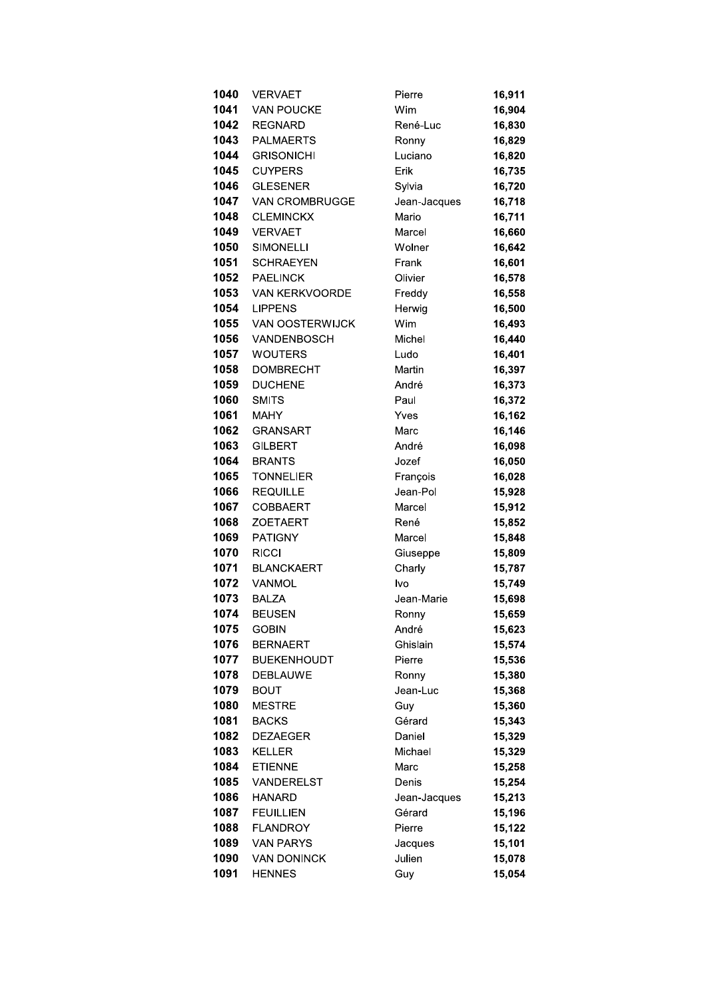| 1040         | <b>VERVAET</b>                  | Pierre           | 16,911           |
|--------------|---------------------------------|------------------|------------------|
| 1041         | <b>VAN POUCKE</b>               | Wim              | 16,904           |
| 1042         | <b>REGNARD</b>                  | René-Luc         | 16,830           |
| 1043         | <b>PALMAERTS</b>                | Ronny            | 16,829           |
| 1044         | <b>GRISONICHI</b>               | Luciano          | 16,820           |
| 1045         | <b>CUYPERS</b>                  | Erik             | 16,735           |
| 1046         | <b>GLESENER</b>                 | Sylvia           | 16,720           |
| 1047         | VAN CROMBRUGGE                  | Jean-Jacques     | 16,718           |
| 1048         | <b>CLEMINCKX</b>                | Mario            | 16,711           |
| 1049         | <b>VERVAET</b>                  | Marcel           | 16,660           |
| 1050         | <b>SIMONELLI</b>                | Wolner           | 16,642           |
| 1051         | <b>SCHRAEYEN</b>                | Frank            | 16,601           |
| 1052         | <b>PAELINCK</b>                 | Olivier          | 16,578           |
| 1053         | VAN KERKVOORDE                  | Freddy           | 16,558           |
| 1054         | <b>LIPPENS</b>                  | Herwig           | 16,500           |
| 1055         | <b>VAN OOSTERWIJCK</b>          | Wim              | 16,493           |
| 1056         | VANDENBOSCH                     | Michel           | 16,440           |
| 1057         | <b>WOUTERS</b>                  | Ludo             | 16,401           |
| 1058         | <b>DOMBRECHT</b>                | Martin           | 16,397           |
| 1059         | <b>DUCHENE</b>                  | André            | 16,373           |
| 1060         | <b>SMITS</b>                    | Paul             | 16,372           |
| 1061         | <b>MAHY</b>                     | Yves             | 16,162           |
| 1062         | <b>GRANSART</b>                 | Marc             | 16,146           |
| 1063         | <b>GILBERT</b>                  | André            | 16,098           |
| 1064         | <b>BRANTS</b>                   | Jozef            | 16,050           |
| 1065         | <b>TONNELIER</b>                | François         | 16,028           |
| 1066         | <b>REQUILLE</b>                 | Jean-Pol         | 15,928           |
| 1067         | <b>COBBAERT</b>                 | Marcel           | 15,912           |
| 1068         | <b>ZOETAERT</b>                 | René             | 15,852           |
| 1069         | <b>PATIGNY</b>                  | Marcel           | 15,848           |
| 1070         | <b>RICCI</b>                    | Giuseppe         | 15,809           |
| 1071         | <b>BLANCKAERT</b>               | Charly           | 15,787           |
| 1072         | VANMOL                          | lvo              | 15,749           |
| 1073         | <b>BALZA</b>                    | Jean-Marie       | 15,698           |
| 1074         | <b>BEUSEN</b>                   | Ronny            | 15,659           |
| 1075         | <b>GOBIN</b>                    | André            | 15,623           |
| 1076         | <b>BERNAERT</b>                 | Ghislain         | 15,574           |
| 1077         | <b>BUEKENHOUDT</b>              | Pierre           | 15,536           |
| 1078         | <b>DEBLAUWE</b>                 | Ronny            | 15,380           |
| 1079         | <b>BOUT</b>                     | Jean-Luc         | 15,368           |
| 1080         | <b>MESTRE</b>                   | Guy              | 15,360           |
| 1081<br>1082 | <b>BACKS</b><br><b>DEZAEGER</b> | Gérard<br>Daniel | 15,343           |
|              |                                 |                  | 15,329           |
| 1083<br>1084 | <b>KELLER</b><br><b>ETIENNE</b> | Michael<br>Marc  | 15,329<br>15,258 |
| 1085         | VANDERELST                      | Denis            | 15,254           |
| 1086         | <b>HANARD</b>                   | Jean-Jacques     | 15,213           |
| 1087         | <b>FEUILLIEN</b>                | Gérard           | 15,196           |
| 1088         | <b>FLANDROY</b>                 | Pierre           | 15,122           |
| 1089         | <b>VAN PARYS</b>                | Jacques          | 15,101           |
| 1090         | <b>VAN DONINCK</b>              | Julien           | 15,078           |
| 1091         | <b>HENNES</b>                   | Guy              | 15,054           |
|              |                                 |                  |                  |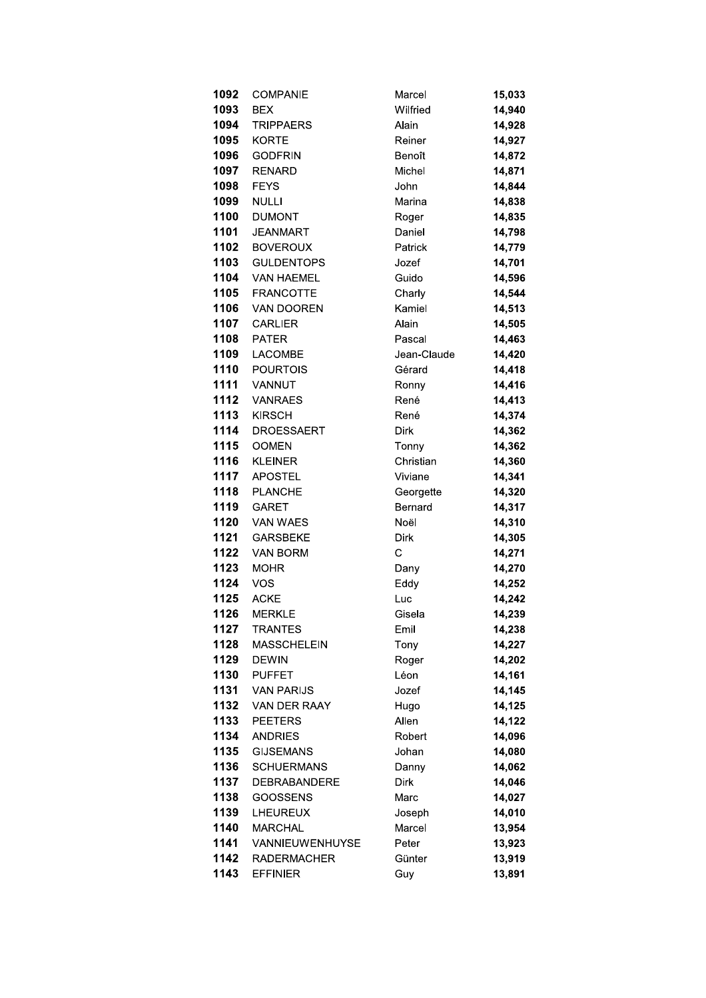| 1092         | <b>COMPANIE</b>             | Marcel                      | 15,033           |
|--------------|-----------------------------|-----------------------------|------------------|
| 1093         | <b>BEX</b>                  | Wilfried                    | 14,940           |
| 1094         | <b>TRIPPAERS</b>            | Alain                       | 14,928           |
| 1095         | <b>KORTE</b>                | Reiner                      | 14,927           |
| 1096         | <b>GODFRIN</b>              | Benoît                      | 14,872           |
| 1097         | <b>RENARD</b>               | Michel                      | 14,871           |
| 1098         | <b>FEYS</b>                 | John                        | 14,844           |
| 1099         | <b>NULLI</b>                | Marina                      | 14,838           |
| 1100         | <b>DUMONT</b>               | Roger                       | 14,835           |
| 1101         | <b>JEANMART</b>             | Daniel                      | 14,798           |
| 1102         | <b>BOVEROUX</b>             | Patrick                     | 14,779           |
| 1103         | <b>GULDENTOPS</b>           | Jozef                       | 14,701           |
| 1104         | <b>VAN HAEMEL</b>           | Guido                       | 14,596           |
| 1105         | <b>FRANCOTTE</b>            | Charly                      | 14,544           |
| 1106         | VAN DOOREN                  | Kamiel                      | 14,513           |
| 1107         | <b>CARLIER</b>              | Alain                       | 14,505           |
| 1108         | <b>PATER</b>                | Pascal                      | 14,463           |
| 1109         | <b>LACOMBE</b>              | Jean-Claude                 | 14,420           |
| 1110         | <b>POURTOIS</b>             | Gérard                      | 14,418           |
| 1111         | VANNUT                      | Ronny                       | 14,416           |
| 1112         | <b>VANRAES</b>              | René                        | 14,413           |
| 1113         | <b>KIRSCH</b>               | René                        | 14,374           |
| 1114         | <b>DROESSAERT</b>           | Dirk                        | 14,362           |
| 1115         | <b>OOMEN</b>                | Tonny                       | 14,362           |
| 1116         | <b>KLEINER</b>              | Christian                   | 14,360           |
| 1117         | <b>APOSTEL</b>              | Viviane                     | 14,341           |
| 1118         | <b>PLANCHE</b>              | Georgette                   | 14,320           |
| 1119         | <b>GARET</b>                | Bernard                     | 14,317           |
| 1120<br>1121 | VAN WAES                    | Noël                        | 14,310           |
| 1122         | <b>GARSBEKE</b><br>VAN BORM | <b>Dirk</b><br>$\mathsf{C}$ | 14,305<br>14,271 |
| 1123         | <b>MOHR</b>                 | Dany                        | 14,270           |
| 1124         | <b>VOS</b>                  | Eddy                        | 14,252           |
| 1125         | <b>ACKE</b>                 | Luc                         | 14,242           |
| 1126         | <b>MERKLE</b>               | Gisela                      | 14,239           |
| 1127         | <b>TRANTES</b>              | Emil                        | 14,238           |
| 1128         | <b>MASSCHELEIN</b>          | Tony                        | 14,227           |
| 1129         | <b>DEWIN</b>                | Roger                       | 14,202           |
| 1130         | <b>PUFFET</b>               | Léon                        | 14,161           |
| 1131         | <b>VAN PARIJS</b>           | Jozef                       | 14,145           |
| 1132         | <b>VAN DER RAAY</b>         | Hugo                        | 14,125           |
| 1133         | <b>PEETERS</b>              | Allen                       | 14,122           |
| 1134         | <b>ANDRIES</b>              | Robert                      | 14,096           |
| 1135         | <b>GIJSEMANS</b>            | Johan                       | 14,080           |
| 1136         | <b>SCHUERMANS</b>           | Danny                       | 14,062           |
| 1137         | <b>DEBRABANDERE</b>         | Dirk                        | 14,046           |
| 1138         | <b>GOOSSENS</b>             | Marc                        | 14,027           |
| 1139         | LHEUREUX                    | Joseph                      | 14,010           |
| 1140         | <b>MARCHAL</b>              | Marcel                      | 13,954           |
| 1141         | VANNIEUWENHUYSE             | Peter                       | 13,923           |
| 1142         | <b>RADERMACHER</b>          | Günter                      | 13,919           |
| 1143         | <b>EFFINIER</b>             | Guy                         | 13,891           |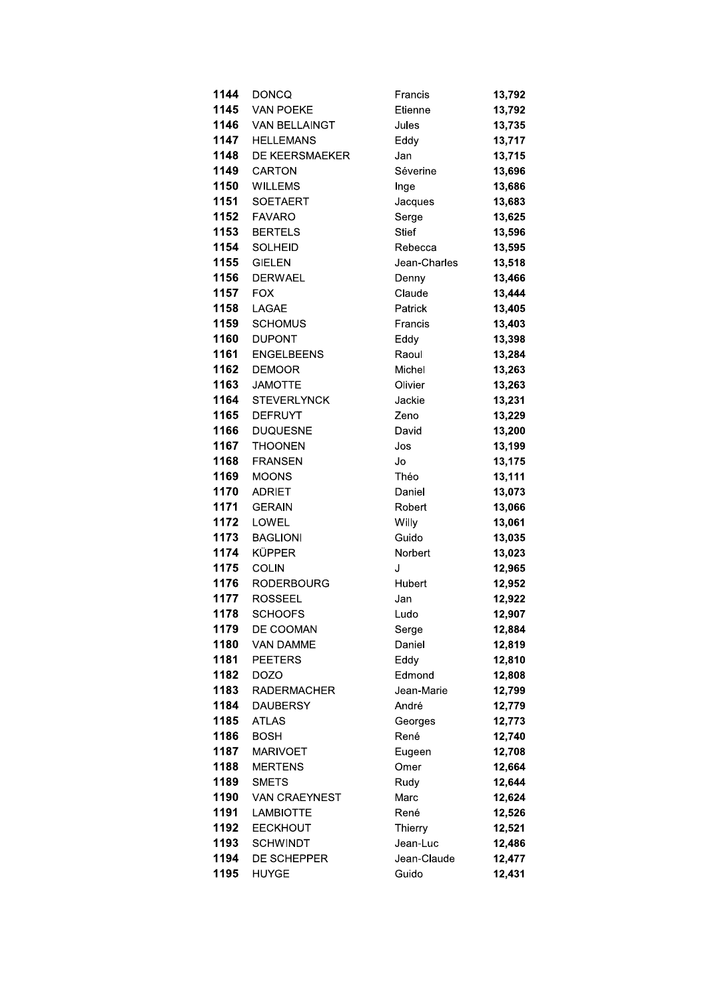| 1144 | <b>DONCQ</b>       | Francis      | 13,792 |
|------|--------------------|--------------|--------|
| 1145 | <b>VAN POEKE</b>   | Etienne      | 13,792 |
| 1146 | VAN BELLAINGT      | Jules        | 13,735 |
| 1147 | <b>HELLEMANS</b>   | Eddy         | 13,717 |
| 1148 | DE KEERSMAEKER     | Jan          | 13,715 |
| 1149 | <b>CARTON</b>      | Séverine     | 13,696 |
| 1150 | <b>WILLEMS</b>     | Inge         | 13,686 |
| 1151 | <b>SOETAERT</b>    | Jacques      | 13,683 |
| 1152 | <b>FAVARO</b>      | Serge        | 13,625 |
| 1153 | <b>BERTELS</b>     | <b>Stief</b> | 13,596 |
| 1154 | <b>SOLHEID</b>     | Rebecca      | 13,595 |
| 1155 | <b>GIELEN</b>      | Jean-Charles | 13,518 |
| 1156 | <b>DERWAEL</b>     | Denny        | 13,466 |
| 1157 | <b>FOX</b>         | Claude       | 13,444 |
| 1158 | LAGAE              | Patrick      | 13,405 |
| 1159 | <b>SCHOMUS</b>     | Francis      | 13,403 |
| 1160 | <b>DUPONT</b>      | Eddy         | 13,398 |
| 1161 | <b>ENGELBEENS</b>  | Raoul        | 13,284 |
| 1162 | <b>DEMOOR</b>      | Michel       | 13,263 |
| 1163 | <b>JAMOTTE</b>     | Olivier      | 13,263 |
| 1164 | <b>STEVERLYNCK</b> | Jackie       | 13,231 |
| 1165 | <b>DEFRUYT</b>     | Zeno         | 13,229 |
| 1166 | <b>DUQUESNE</b>    | David        | 13,200 |
| 1167 | <b>THOONEN</b>     | Jos          | 13,199 |
| 1168 | <b>FRANSEN</b>     | Jo           | 13,175 |
| 1169 | <b>MOONS</b>       | Théo         | 13,111 |
| 1170 | <b>ADRIET</b>      | Daniel       | 13,073 |
| 1171 | <b>GERAIN</b>      | Robert       | 13,066 |
| 1172 | LOWEL              | Willy        | 13,061 |
| 1173 | <b>BAGLIONI</b>    | Guido        | 13,035 |
| 1174 | <b>KÜPPER</b>      | Norbert      | 13,023 |
| 1175 | <b>COLIN</b>       | J            | 12,965 |
| 1176 | <b>RODERBOURG</b>  | Hubert       | 12,952 |
| 1177 | <b>ROSSEEL</b>     | Jan          | 12,922 |
| 1178 | <b>SCHOOFS</b>     | Ludo         | 12,907 |
| 1179 | DE COOMAN          | Serge        | 12,884 |
| 1180 | <b>VAN DAMME</b>   | Daniel       | 12,819 |
| 1181 | <b>PEETERS</b>     | Eddy         | 12,810 |
| 1182 | <b>DOZO</b>        | Edmond       | 12,808 |
| 1183 | <b>RADERMACHER</b> | Jean-Marie   | 12,799 |
| 1184 | <b>DAUBERSY</b>    | André        | 12,779 |
| 1185 | <b>ATLAS</b>       | Georges      | 12,773 |
| 1186 | <b>BOSH</b>        | René         | 12,740 |
| 1187 | <b>MARIVOET</b>    | Eugeen       | 12,708 |
| 1188 | <b>MERTENS</b>     | Omer         | 12,664 |
| 1189 | <b>SMETS</b>       | Rudy         | 12,644 |
| 1190 | VAN CRAEYNEST      | Marc         | 12,624 |
| 1191 | <b>LAMBIOTTE</b>   | René         | 12,526 |
| 1192 | <b>EECKHOUT</b>    | Thierry      | 12,521 |
| 1193 | <b>SCHWINDT</b>    | Jean-Luc     | 12,486 |
| 1194 | <b>DE SCHEPPER</b> | Jean-Claude  | 12,477 |
| 1195 | <b>HUYGE</b>       | Guido        | 12,431 |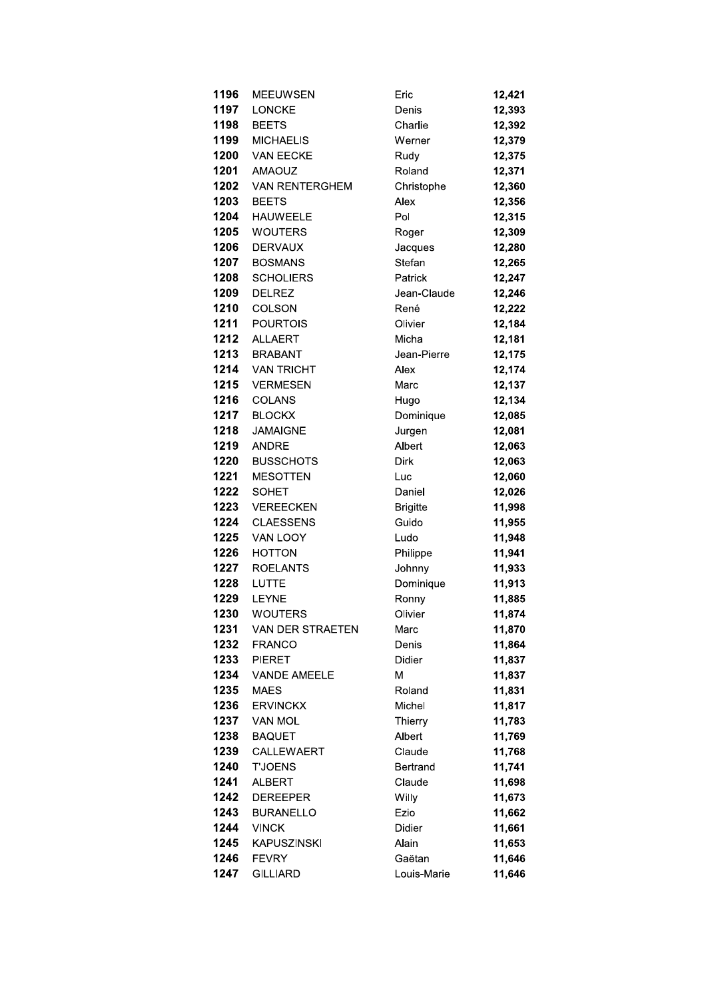| 1196 | <b>MEEUWSEN</b>       | Eric            | 12,421 |
|------|-----------------------|-----------------|--------|
| 1197 | <b>LONCKE</b>         | Denis           | 12,393 |
| 1198 | <b>BEETS</b>          | Charlie         | 12,392 |
| 1199 | <b>MICHAELIS</b>      | Werner          | 12,379 |
| 1200 | <b>VAN EECKE</b>      | Rudy            | 12,375 |
| 1201 | <b>AMAOUZ</b>         | Roland          | 12,371 |
| 1202 | <b>VAN RENTERGHEM</b> | Christophe      | 12,360 |
| 1203 | <b>BEETS</b>          | Alex            | 12,356 |
| 1204 | <b>HAUWEELE</b>       | Pol             | 12,315 |
| 1205 | <b>WOUTERS</b>        | Roger           | 12,309 |
| 1206 | <b>DERVAUX</b>        | Jacques         | 12,280 |
| 1207 | <b>BOSMANS</b>        | Stefan          | 12,265 |
| 1208 | <b>SCHOLIERS</b>      | Patrick         | 12,247 |
| 1209 | <b>DELREZ</b>         | Jean-Claude     | 12,246 |
| 1210 | <b>COLSON</b>         | René            | 12,222 |
| 1211 | <b>POURTOIS</b>       | Olivier         | 12,184 |
| 1212 | <b>ALLAERT</b>        | Micha           | 12,181 |
| 1213 | <b>BRABANT</b>        | Jean-Pierre     | 12,175 |
| 1214 | <b>VAN TRICHT</b>     | Alex            | 12,174 |
| 1215 | <b>VERMESEN</b>       | Marc            | 12,137 |
| 1216 | <b>COLANS</b>         | Hugo            | 12,134 |
| 1217 | <b>BLOCKX</b>         | Dominique       | 12,085 |
| 1218 | <b>JAMAIGNE</b>       | Jurgen          | 12,081 |
| 1219 | <b>ANDRE</b>          | Albert          | 12,063 |
| 1220 | <b>BUSSCHOTS</b>      | <b>Dirk</b>     | 12,063 |
| 1221 | <b>MESOTTEN</b>       | Luc             | 12,060 |
| 1222 | <b>SOHET</b>          | Daniel          | 12,026 |
| 1223 | <b>VEREECKEN</b>      | <b>Brigitte</b> | 11,998 |
| 1224 | <b>CLAESSENS</b>      | Guido           | 11,955 |
| 1225 | VAN LOOY              | Ludo            | 11,948 |
| 1226 | <b>HOTTON</b>         | Philippe        | 11,941 |
| 1227 | <b>ROELANTS</b>       | Johnny          | 11,933 |
| 1228 | <b>LUTTE</b>          | Dominique       | 11,913 |
| 1229 | <b>LEYNE</b>          | Ronny           | 11,885 |
| 1230 | WOUTERS               | Olivier         | 11,874 |
| 1231 | VAN DER STRAETEN      | Marc            | 11,870 |
| 1232 | <b>FRANCO</b>         | Denis           | 11,864 |
| 1233 | <b>PIERET</b>         | Didier          | 11,837 |
| 1234 | <b>VANDE AMEELE</b>   | Μ               | 11,837 |
| 1235 | <b>MAES</b>           | Roland          | 11,831 |
| 1236 | <b>ERVINCKX</b>       | Michel          | 11,817 |
| 1237 | <b>VAN MOL</b>        | Thierry         | 11,783 |
| 1238 | <b>BAQUET</b>         | Albert          | 11,769 |
| 1239 | <b>CALLEWAERT</b>     | Claude          | 11,768 |
| 1240 | <b>T'JOENS</b>        | <b>Bertrand</b> | 11,741 |
| 1241 | <b>ALBERT</b>         | Claude          | 11,698 |
| 1242 | <b>DEREEPER</b>       | Willy           | 11,673 |
| 1243 | <b>BURANELLO</b>      | Ezio            | 11,662 |
| 1244 | <b>VINCK</b>          | Didier          | 11,661 |
| 1245 | <b>KAPUSZINSKI</b>    | Alain           | 11,653 |
| 1246 | <b>FEVRY</b>          | Gaëtan          | 11,646 |
| 1247 | <b>GILLIARD</b>       | Louis-Marie     | 11,646 |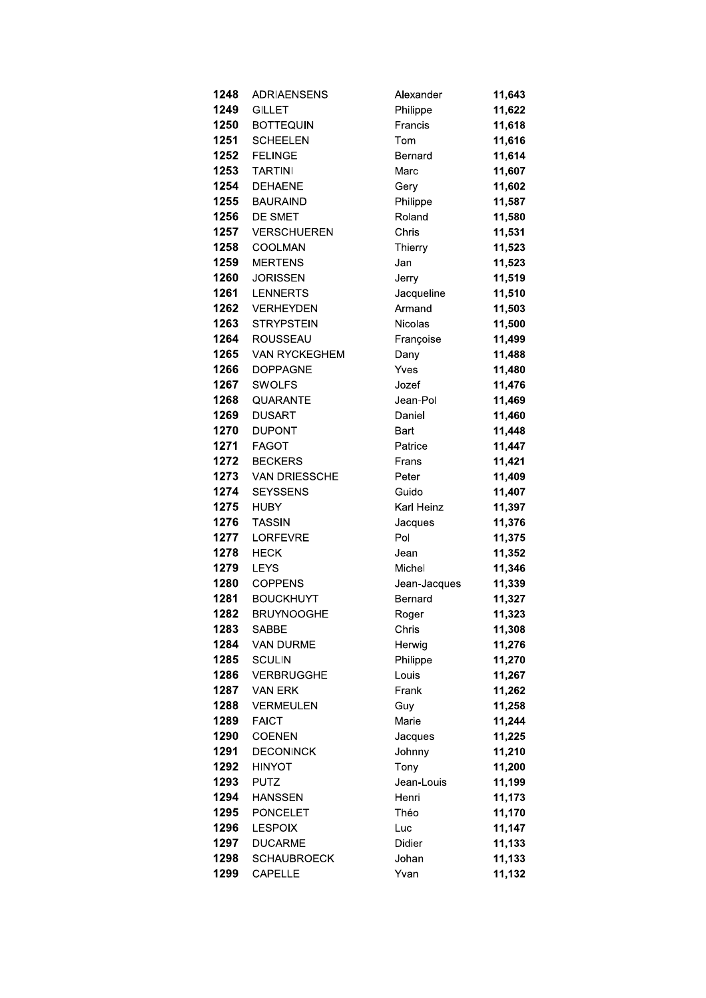| 1248 | <b>ADRIAENSENS</b>   | Alexander      | 11,643 |
|------|----------------------|----------------|--------|
| 1249 | <b>GILLET</b>        | Philippe       | 11,622 |
| 1250 | <b>BOTTEQUIN</b>     | Francis        | 11,618 |
| 1251 | <b>SCHEELEN</b>      | Tom            | 11,616 |
| 1252 | <b>FELINGE</b>       | Bernard        | 11,614 |
| 1253 | <b>TARTINI</b>       | Marc           | 11,607 |
| 1254 | <b>DEHAENE</b>       | Gery           | 11,602 |
| 1255 | <b>BAURAIND</b>      | Philippe       | 11,587 |
| 1256 | DE SMET              | Roland         | 11,580 |
| 1257 | <b>VERSCHUEREN</b>   | Chris          | 11,531 |
| 1258 | COOLMAN              | Thierry        | 11,523 |
| 1259 | <b>MERTENS</b>       | Jan            | 11,523 |
| 1260 | <b>JORISSEN</b>      | Jerry          | 11,519 |
| 1261 | <b>LENNERTS</b>      | Jacqueline     | 11,510 |
| 1262 | <b>VERHEYDEN</b>     | Armand         | 11,503 |
| 1263 | <b>STRYPSTEIN</b>    | <b>Nicolas</b> | 11,500 |
| 1264 | <b>ROUSSEAU</b>      | Françoise      | 11,499 |
| 1265 | <b>VAN RYCKEGHEM</b> | Dany           | 11,488 |
| 1266 | <b>DOPPAGNE</b>      | Yves           | 11,480 |
| 1267 | <b>SWOLFS</b>        | Jozef          | 11,476 |
| 1268 | QUARANTE             | Jean-Pol       | 11,469 |
| 1269 | <b>DUSART</b>        | Daniel         | 11,460 |
| 1270 | <b>DUPONT</b>        | Bart           | 11,448 |
| 1271 | <b>FAGOT</b>         | Patrice        | 11,447 |
| 1272 | <b>BECKERS</b>       | Frans          | 11,421 |
| 1273 | <b>VAN DRIESSCHE</b> | Peter          | 11,409 |
| 1274 | <b>SEYSSENS</b>      | Guido          | 11,407 |
| 1275 | <b>HUBY</b>          | Karl Heinz     | 11,397 |
| 1276 | <b>TASSIN</b>        | Jacques        | 11,376 |
| 1277 | <b>LORFEVRE</b>      | Pol            | 11,375 |
| 1278 | <b>HECK</b>          | Jean           | 11,352 |
| 1279 | <b>LEYS</b>          | Michel         | 11,346 |
| 1280 | <b>COPPENS</b>       | Jean-Jacques   | 11,339 |
| 1281 | <b>BOUCKHUYT</b>     | Bernard        | 11,327 |
| 1282 | <b>BRUYNOOGHE</b>    | Roger          | 11,323 |
| 1283 | <b>SABBE</b>         | Chris          | 11,308 |
| 1284 | <b>VAN DURME</b>     | Herwig         | 11,276 |
| 1285 | <b>SCULIN</b>        | Philippe       | 11,270 |
| 1286 | <b>VERBRUGGHE</b>    | Louis          | 11,267 |
| 1287 | VAN ERK              | Frank          | 11,262 |
| 1288 | <b>VERMEULEN</b>     | Guy            | 11,258 |
| 1289 | <b>FAICT</b>         | Marie          | 11,244 |
| 1290 | <b>COENEN</b>        | Jacques        | 11,225 |
| 1291 | <b>DECONINCK</b>     | Johnny         | 11,210 |
| 1292 | <b>HINYOT</b>        | Tony           | 11,200 |
| 1293 | <b>PUTZ</b>          | Jean-Louis     | 11,199 |
| 1294 | <b>HANSSEN</b>       | Henri          | 11,173 |
| 1295 | <b>PONCELET</b>      | Théo           | 11,170 |
| 1296 | <b>LESPOIX</b>       | Luc            | 11,147 |
| 1297 | <b>DUCARME</b>       | Didier         | 11,133 |
| 1298 | <b>SCHAUBROECK</b>   | Johan          | 11,133 |
| 1299 | <b>CAPELLE</b>       | Yvan           | 11,132 |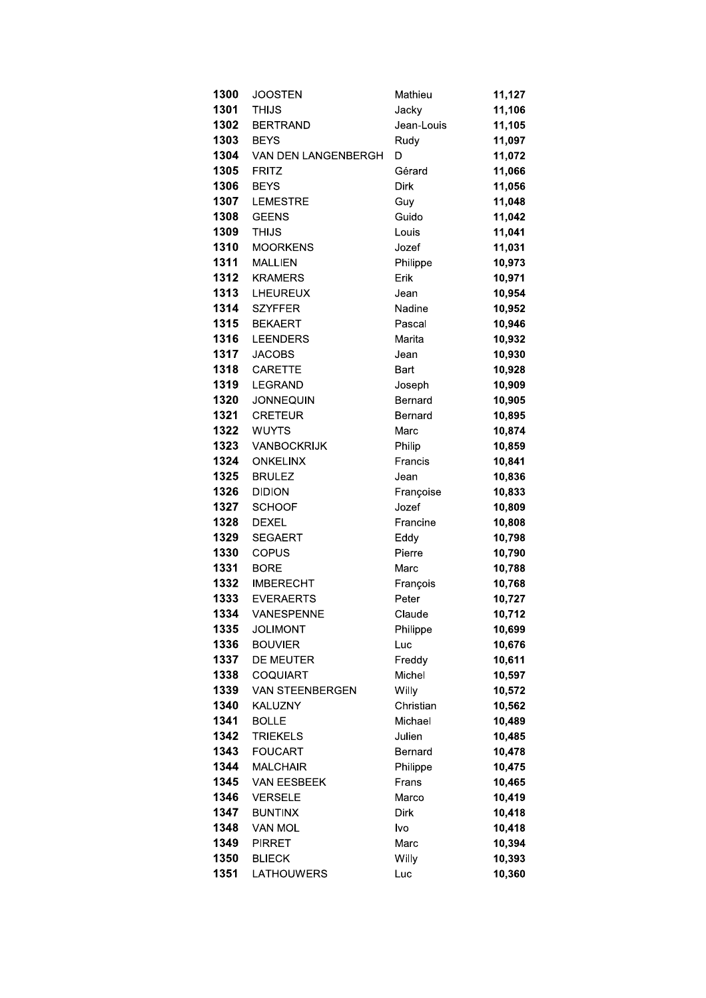| 1300         | <b>JOOSTEN</b>                    | Mathieu            | 11,127           |
|--------------|-----------------------------------|--------------------|------------------|
| 1301         | <b>THIJS</b>                      | Jacky              | 11,106           |
| 1302         | <b>BERTRAND</b>                   | Jean-Louis         | 11,105           |
| 1303         | <b>BEYS</b>                       | Rudy               | 11,097           |
| 1304         | VAN DEN LANGENBERGH               | D                  | 11,072           |
| 1305         | <b>FRITZ</b>                      | Gérard             | 11,066           |
| 1306         | <b>BEYS</b>                       | <b>Dirk</b>        | 11,056           |
| 1307         | <b>LEMESTRE</b>                   | Guy                | 11,048           |
| 1308         | <b>GEENS</b>                      | Guido              | 11,042           |
| 1309         | <b>THIJS</b>                      | Louis              | 11,041           |
| 1310         | <b>MOORKENS</b>                   | Jozef              | 11,031           |
| 1311         | <b>MALLIEN</b>                    | Philippe           | 10,973           |
| 1312         | <b>KRAMERS</b>                    | Erik               | 10,971           |
| 1313         | LHEUREUX                          | Jean               | 10,954           |
| 1314         | <b>SZYFFER</b>                    | Nadine             | 10,952           |
| 1315         | <b>BEKAERT</b>                    | Pascal             | 10,946           |
| 1316         | <b>LEENDERS</b>                   | Marita             | 10,932           |
| 1317         | <b>JACOBS</b>                     | Jean               | 10,930           |
| 1318         | <b>CARETTE</b>                    | Bart               | 10,928           |
| 1319         | <b>LEGRAND</b>                    | Joseph             | 10,909           |
| 1320         | <b>JONNEQUIN</b>                  | Bernard            | 10,905           |
| 1321         | <b>CRETEUR</b>                    | Bernard            | 10,895           |
| 1322         | <b>WUYTS</b>                      | Marc               | 10,874           |
| 1323         | <b>VANBOCKRIJK</b>                | Philip             | 10,859           |
| 1324         | <b>ONKELINX</b>                   | Francis            | 10,841           |
| 1325         | <b>BRULEZ</b>                     | Jean               | 10,836           |
| 1326         | <b>DIDION</b>                     | Françoise          | 10,833           |
| 1327         | <b>SCHOOF</b>                     | Jozef              | 10,809           |
| 1328         | <b>DEXEL</b>                      | Francine           | 10,808           |
| 1329         | <b>SEGAERT</b>                    | Eddy               | 10,798           |
| 1330         | <b>COPUS</b>                      | Pierre             | 10,790           |
| 1331         | <b>BORE</b>                       | Marc               | 10,788           |
| 1332         | <b>IMBERECHT</b>                  | François           | 10,768           |
| 1333         | <b>EVERAERTS</b>                  | Peter              | 10,727           |
| 1334         | VANESPENNE                        | Claude             | 10,712           |
| 1335         | <b>JOLIMONT</b>                   | Philippe           | 10,699           |
| 1336         | <b>BOUVIER</b>                    | Luc                | 10,676           |
| 1337         | DE MEUTER                         | Freddy             | 10,611           |
| 1338         | <b>COQUIART</b>                   | Michel             | 10,597           |
| 1339         | VAN STEENBERGEN<br><b>KALUZNY</b> | Willy<br>Christian | 10,572           |
| 1340<br>1341 |                                   | Michael            | 10,562           |
| 1342         | <b>BOLLE</b><br><b>TRIEKELS</b>   | Julien             | 10,489           |
| 1343         | <b>FOUCART</b>                    | Bernard            | 10,485<br>10,478 |
| 1344         | <b>MALCHAIR</b>                   | Philippe           | 10,475           |
| 1345         | <b>VAN EESBEEK</b>                | Frans              | 10,465           |
| 1346         | <b>VERSELE</b>                    | Marco              | 10,419           |
| 1347         | <b>BUNTINX</b>                    | <b>Dirk</b>        | 10,418           |
| 1348         | <b>VAN MOL</b>                    | lvo                | 10,418           |
| 1349         | <b>PIRRET</b>                     | Marc               | 10,394           |
| 1350         | <b>BLIECK</b>                     | Willy              | 10,393           |
| 1351         | LATHOUWERS                        | Luc                | 10,360           |
|              |                                   |                    |                  |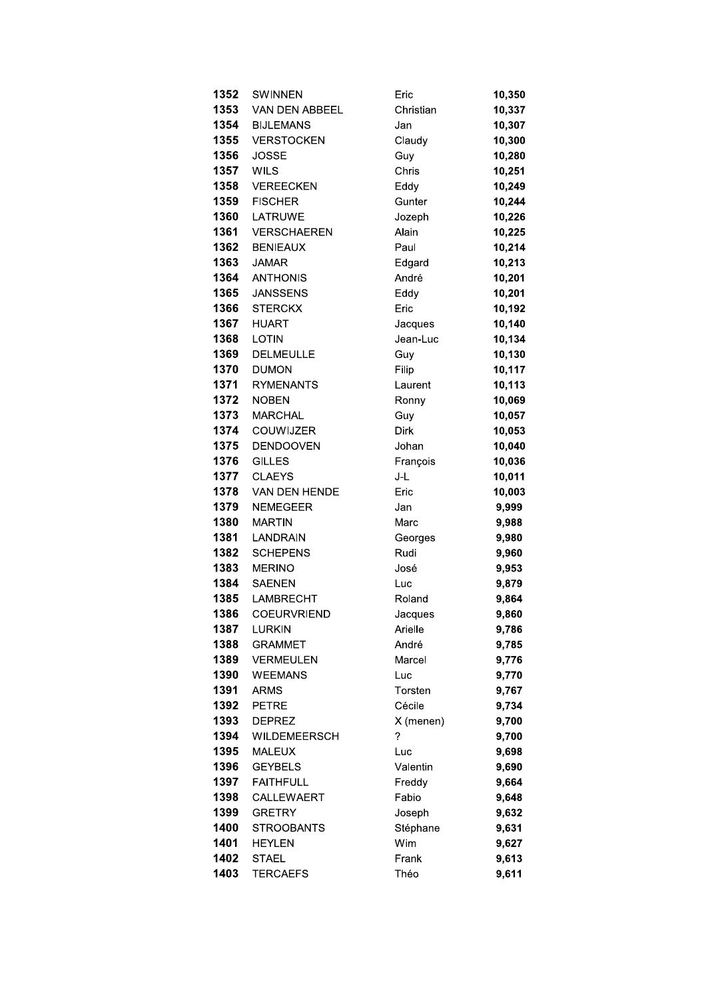| 1352 | SWINNEN               | Eric        | 10,350 |
|------|-----------------------|-------------|--------|
| 1353 | <b>VAN DEN ABBEEL</b> | Christian   | 10,337 |
| 1354 | <b>BIJLEMANS</b>      | Jan         | 10,307 |
| 1355 | <b>VERSTOCKEN</b>     | Claudy      | 10,300 |
| 1356 | <b>JOSSE</b>          | Guy         | 10,280 |
| 1357 | <b>WILS</b>           | Chris       | 10,251 |
| 1358 | <b>VEREECKEN</b>      | Eddy        | 10,249 |
| 1359 | <b>FISCHER</b>        | Gunter      | 10,244 |
| 1360 | LATRUWE               | Jozeph      | 10,226 |
| 1361 | <b>VERSCHAEREN</b>    | Alain       | 10,225 |
| 1362 | <b>BENIEAUX</b>       | Paul        | 10,214 |
| 1363 | <b>JAMAR</b>          |             |        |
| 1364 | <b>ANTHONIS</b>       | Edgard      | 10,213 |
|      |                       | André       | 10,201 |
| 1365 | <b>JANSSENS</b>       | Eddy        | 10,201 |
| 1366 | <b>STERCKX</b>        | Eric        | 10,192 |
| 1367 | <b>HUART</b>          | Jacques     | 10,140 |
| 1368 | <b>LOTIN</b>          | Jean-Luc    | 10,134 |
| 1369 | <b>DELMEULLE</b>      | Guy         | 10,130 |
| 1370 | <b>DUMON</b>          | Filip       | 10,117 |
| 1371 | <b>RYMENANTS</b>      | Laurent     | 10,113 |
| 1372 | <b>NOBEN</b>          | Ronny       | 10,069 |
| 1373 | <b>MARCHAL</b>        | Guy         | 10,057 |
| 1374 | <b>COUWIJZER</b>      | <b>Dirk</b> | 10,053 |
| 1375 | <b>DENDOOVEN</b>      | Johan       | 10,040 |
| 1376 | <b>GILLES</b>         | François    | 10,036 |
| 1377 | <b>CLAEYS</b>         | J-L         | 10,011 |
| 1378 | VAN DEN HENDE         | Eric        | 10,003 |
| 1379 | <b>NEMEGEER</b>       | Jan         | 9,999  |
| 1380 | <b>MARTIN</b>         | Marc        | 9,988  |
| 1381 | <b>LANDRAIN</b>       | Georges     | 9,980  |
| 1382 | <b>SCHEPENS</b>       | Rudi        | 9,960  |
| 1383 | <b>MERINO</b>         | José        | 9,953  |
| 1384 | <b>SAENEN</b>         | Luc         | 9,879  |
| 1385 | LAMBRECHT             | Roland      | 9,864  |
| 1386 | COEURVRIEND           | Jacques     | 9,860  |
| 1387 | <b>LURKIN</b>         | Arielle     | 9,786  |
| 1388 | <b>GRAMMET</b>        | André       | 9,785  |
| 1389 | <b>VERMEULEN</b>      | Marcel      | 9,776  |
| 1390 | <b>WEEMANS</b>        | Luc         | 9,770  |
| 1391 | <b>ARMS</b>           | Torsten     | 9,767  |
| 1392 | <b>PETRE</b>          | Cécile      | 9,734  |
| 1393 | <b>DEPREZ</b>         | X (menen)   | 9,700  |
| 1394 | <b>WILDEMEERSCH</b>   | ?           | 9,700  |
| 1395 | <b>MALEUX</b>         | Luc         | 9,698  |
| 1396 | <b>GEYBELS</b>        | Valentin    | 9,690  |
| 1397 | <b>FAITHFULL</b>      | Freddy      | 9,664  |
| 1398 | CALLEWAERT            | Fabio       | 9,648  |
| 1399 | <b>GRETRY</b>         | Joseph      | 9,632  |
| 1400 | <b>STROOBANTS</b>     | Stéphane    | 9,631  |
| 1401 | HEYLEN                | Wim         | 9,627  |
| 1402 | <b>STAEL</b>          | Frank       | 9,613  |
| 1403 | <b>TERCAEFS</b>       | Théo        | 9,611  |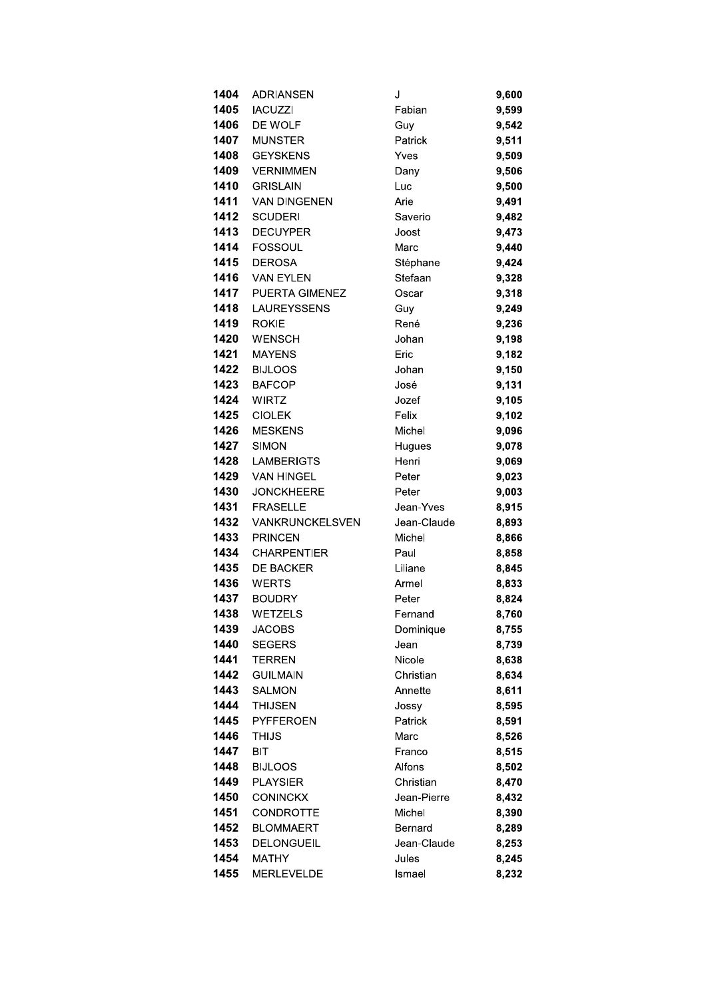| 1404 | <b>ADRIANSEN</b>      | J           | 9,600 |
|------|-----------------------|-------------|-------|
| 1405 | <b>IACUZZI</b>        | Fabian      | 9,599 |
| 1406 | DE WOLF               | Guy         | 9,542 |
| 1407 | <b>MUNSTER</b>        | Patrick     | 9,511 |
| 1408 | <b>GEYSKENS</b>       | Yves        | 9,509 |
| 1409 | <b>VERNIMMEN</b>      | Dany        | 9,506 |
| 1410 | <b>GRISLAIN</b>       | Luc         | 9,500 |
| 1411 | <b>VAN DINGENEN</b>   | Arie        | 9,491 |
| 1412 | <b>SCUDERI</b>        | Saverio     | 9,482 |
| 1413 | <b>DECUYPER</b>       | Joost       | 9,473 |
| 1414 | <b>FOSSOUL</b>        | Marc        | 9,440 |
| 1415 | <b>DEROSA</b>         | Stéphane    | 9,424 |
| 1416 | <b>VAN EYLEN</b>      | Stefaan     | 9,328 |
| 1417 | <b>PUERTA GIMENEZ</b> | Oscar       | 9,318 |
| 1418 | <b>LAUREYSSENS</b>    | Guy         | 9,249 |
| 1419 | <b>ROKIE</b>          | René        | 9,236 |
| 1420 | <b>WENSCH</b>         | Johan       | 9,198 |
| 1421 | <b>MAYENS</b>         | Eric        | 9,182 |
| 1422 | <b>BIJLOOS</b>        | Johan       | 9,150 |
| 1423 | <b>BAFCOP</b>         | José        | 9,131 |
| 1424 | <b>WIRTZ</b>          | Jozef       | 9,105 |
| 1425 | <b>CIOLEK</b>         | Felix       | 9,102 |
| 1426 | <b>MESKENS</b>        | Michel      | 9,096 |
| 1427 | <b>SIMON</b>          | Hugues      | 9,078 |
| 1428 | <b>LAMBERIGTS</b>     | Henri       | 9,069 |
| 1429 | <b>VAN HINGEL</b>     | Peter       | 9,023 |
| 1430 | <b>JONCKHEERE</b>     | Peter       | 9,003 |
| 1431 | <b>FRASELLE</b>       | Jean-Yves   | 8,915 |
| 1432 | VANKRUNCKELSVEN       | Jean-Claude | 8,893 |
| 1433 | <b>PRINCEN</b>        | Michel      | 8,866 |
| 1434 | <b>CHARPENTIER</b>    | Paul        | 8,858 |
| 1435 | <b>DE BACKER</b>      | Liliane     | 8,845 |
| 1436 | <b>WERTS</b>          | Armel       | 8,833 |
| 1437 | <b>BOUDRY</b>         | Peter       | 8,824 |
| 1438 | WETZELS               | Fernand     | 8,760 |
| 1439 | <b>JACOBS</b>         | Dominique   | 8,755 |
| 1440 | <b>SEGERS</b>         | Jean        | 8,739 |
| 1441 | <b>TERREN</b>         | Nicole      | 8,638 |
| 1442 | <b>GUILMAIN</b>       | Christian   | 8,634 |
| 1443 | <b>SALMON</b>         | Annette     | 8,611 |
| 1444 | <b>THIJSEN</b>        | Jossy       | 8,595 |
| 1445 | PYFFEROEN             | Patrick     | 8,591 |
| 1446 | THIJS                 | Marc        | 8,526 |
| 1447 | <b>BIT</b>            | Franco      | 8,515 |
| 1448 | <b>BIJLOOS</b>        | Alfons      | 8,502 |
| 1449 | <b>PLAYSIER</b>       | Christian   | 8,470 |
| 1450 | <b>CONINCKX</b>       | Jean-Pierre | 8,432 |
| 1451 | CONDROTTE             | Michel      | 8,390 |
| 1452 | <b>BLOMMAERT</b>      | Bernard     | 8,289 |
| 1453 | <b>DELONGUEIL</b>     | Jean-Claude | 8,253 |
| 1454 | <b>MATHY</b>          | Jules       | 8,245 |
| 1455 | <b>MERLEVELDE</b>     | Ismael      | 8,232 |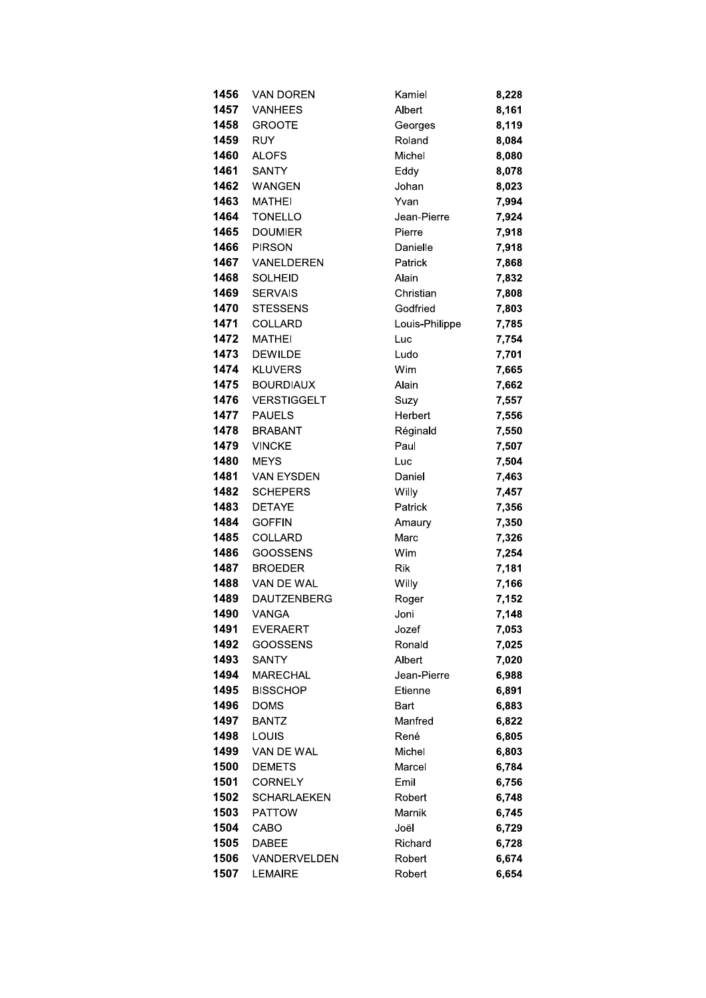| 1456 | VAN DOREN          | Kamiel         | 8,228 |
|------|--------------------|----------------|-------|
| 1457 | <b>VANHEES</b>     | Albert         | 8,161 |
| 1458 | <b>GROOTE</b>      | Georges        | 8,119 |
| 1459 | <b>RUY</b>         | Roland         | 8,084 |
| 1460 | <b>ALOFS</b>       | Michel         | 8,080 |
| 1461 | <b>SANTY</b>       | Eddy           | 8,078 |
| 1462 | <b>WANGEN</b>      | Johan          | 8,023 |
| 1463 | <b>MATHEI</b>      | Yvan           | 7,994 |
| 1464 | <b>TONELLO</b>     | Jean-Pierre    | 7,924 |
| 1465 | <b>DOUMIER</b>     | Pierre         | 7,918 |
| 1466 | <b>PIRSON</b>      | Danielle       | 7,918 |
| 1467 | VANELDEREN         | Patrick        | 7,868 |
| 1468 | <b>SOLHEID</b>     | Alain          | 7,832 |
| 1469 | <b>SERVAIS</b>     | Christian      | 7,808 |
| 1470 | <b>STESSENS</b>    | Godfried       | 7,803 |
| 1471 | COLLARD            | Louis-Philippe | 7,785 |
| 1472 | <b>MATHEI</b>      | Luc            | 7,754 |
| 1473 | <b>DEWILDE</b>     | Ludo           | 7,701 |
| 1474 | <b>KLUVERS</b>     | Wim            | 7,665 |
| 1475 | <b>BOURDIAUX</b>   | Alain          | 7,662 |
| 1476 | <b>VERSTIGGELT</b> | Suzy           | 7,557 |
| 1477 | <b>PAUELS</b>      | Herbert        | 7,556 |
| 1478 | <b>BRABANT</b>     | Réginald       | 7,550 |
| 1479 | <b>VINCKE</b>      | Paul           | 7,507 |
| 1480 | <b>MEYS</b>        | Luc            | 7,504 |
| 1481 | <b>VAN EYSDEN</b>  | Daniel         | 7,463 |
| 1482 | <b>SCHEPERS</b>    | Willy          | 7,457 |
| 1483 | <b>DETAYE</b>      | Patrick        | 7,356 |
| 1484 | <b>GOFFIN</b>      | Amaury         | 7,350 |
| 1485 | COLLARD            | Marc           | 7,326 |
| 1486 | <b>GOOSSENS</b>    | Wim            | 7,254 |
| 1487 | <b>BROEDER</b>     | <b>Rik</b>     | 7,181 |
| 1488 | VAN DE WAL         | Willy          | 7,166 |
| 1489 | <b>DAUTZENBERG</b> | Roger          | 7,152 |
| 1490 | VANGA              | Joni           | 7.148 |
| 1491 | <b>EVERAERT</b>    | Jozef          | 7,053 |
| 1492 | <b>GOOSSENS</b>    | Ronald         | 7,025 |
| 1493 | <b>SANTY</b>       | Albert         | 7,020 |
| 1494 | <b>MARECHAL</b>    | Jean-Pierre    | 6,988 |
| 1495 | <b>BISSCHOP</b>    | Etienne        | 6,891 |
| 1496 | <b>DOMS</b>        | <b>Bart</b>    | 6,883 |
| 1497 | <b>BANTZ</b>       | Manfred        | 6,822 |
| 1498 | LOUIS              | René           | 6,805 |
| 1499 | VAN DE WAL         | Michel         | 6,803 |
| 1500 | <b>DEMETS</b>      | Marcel         | 6,784 |
| 1501 | <b>CORNELY</b>     | Emil           | 6,756 |
| 1502 | <b>SCHARLAEKEN</b> | Robert         | 6,748 |
| 1503 | <b>PATTOW</b>      | Marnik         | 6,745 |
| 1504 | CABO               | Joël           | 6,729 |
| 1505 | <b>DABEE</b>       | Richard        | 6,728 |
| 1506 | VANDERVELDEN       | Robert         | 6,674 |
| 1507 | <b>LEMAIRE</b>     | Robert         | 6,654 |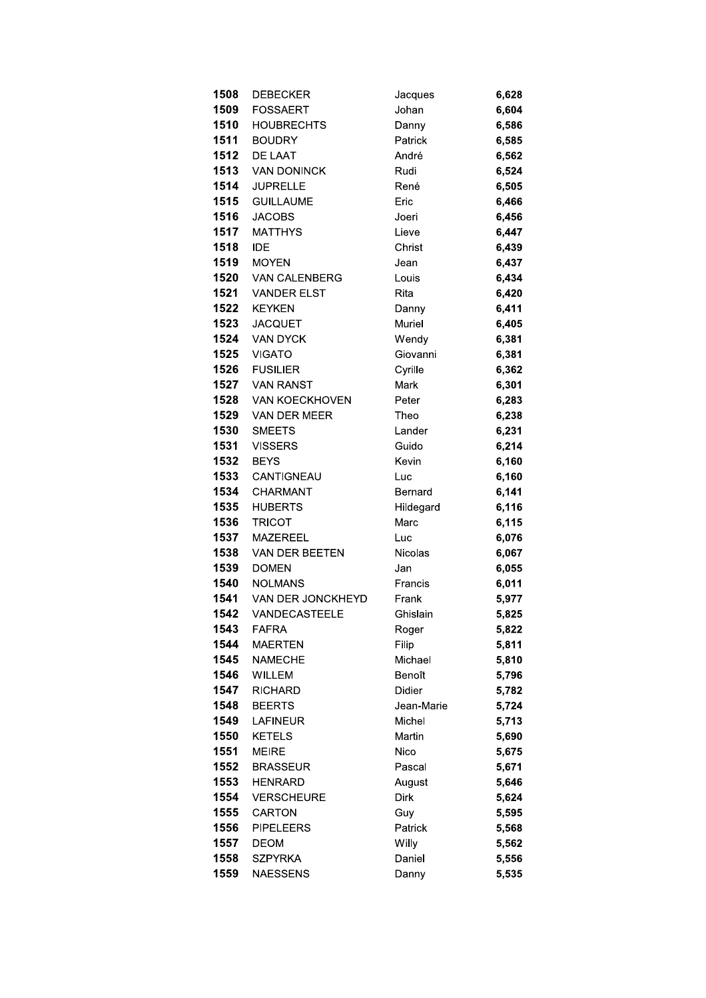| 1508         | <b>DEBECKER</b>                | Jacques        | 6,628          |
|--------------|--------------------------------|----------------|----------------|
| 1509         | <b>FOSSAERT</b>                | Johan          | 6,604          |
| 1510         | <b>HOUBRECHTS</b>              | Danny          | 6,586          |
| 1511         | <b>BOUDRY</b>                  | Patrick        | 6,585          |
| 1512         | DE LAAT                        | André          | 6,562          |
| 1513         | <b>VAN DONINCK</b>             | Rudi           | 6,524          |
| 1514         | <b>JUPRELLE</b>                | René           | 6,505          |
| 1515         | <b>GUILLAUME</b>               | Eric           | 6,466          |
| 1516         | <b>JACOBS</b>                  | Joeri          | 6,456          |
| 1517         | <b>MATTHYS</b>                 | Lieve          | 6,447          |
| 1518         | <b>IDE</b>                     | Christ         | 6,439          |
| 1519         | <b>MOYEN</b>                   | Jean           | 6,437          |
| 1520         | <b>VAN CALENBERG</b>           | Louis          | 6,434          |
| 1521         | <b>VANDER ELST</b>             | Rita           | 6,420          |
| 1522         | <b>KEYKEN</b>                  | Danny          | 6,411          |
| 1523         | <b>JACQUET</b>                 | Muriel         | 6,405          |
| 1524         | VAN DYCK                       | Wendy          | 6,381          |
| 1525         | <b>VIGATO</b>                  | Giovanni       | 6,381          |
| 1526         | <b>FUSILIER</b>                | Cyrille        | 6,362          |
| 1527         | <b>VAN RANST</b>               | Mark           | 6,301          |
| 1528         | VAN KOECKHOVEN                 | Peter          | 6,283          |
| 1529         | VAN DER MEER                   | Theo           | 6,238          |
| 1530         | <b>SMEETS</b>                  | Lander         | 6,231          |
| 1531         | <b>VISSERS</b>                 | Guido          | 6,214          |
| 1532         | <b>BEYS</b>                    | Kevin          | 6,160          |
| 1533         | CANTIGNEAU                     | Luc            | 6,160          |
| 1534         | <b>CHARMANT</b>                | Bernard        | 6,141          |
| 1535         | <b>HUBERTS</b>                 | Hildegard      | 6,116          |
| 1536         | <b>TRICOT</b>                  | Marc           | 6,115          |
| 1537         | <b>MAZEREEL</b>                | Luc            | 6,076          |
| 1538         | VAN DER BEETEN                 | Nicolas        | 6,067          |
| 1539<br>1540 | <b>DOMEN</b><br><b>NOLMANS</b> | Jan<br>Francis | 6,055          |
| 1541         | VAN DER JONCKHEYD              | Frank          | 6,011<br>5,977 |
| 1542         | VANDECASTEELE                  | Ghislain       | 5,825          |
| 1543         | <b>FAFRA</b>                   |                | 5,822          |
| 1544         | <b>MAERTEN</b>                 | Roger<br>Filip | 5,811          |
| 1545         | <b>NAMECHE</b>                 | Michael        | 5,810          |
| 1546         | <b>WILLEM</b>                  | Benoît         | 5,796          |
| 1547         | <b>RICHARD</b>                 | Didier         | 5,782          |
| 1548         | <b>BEERTS</b>                  | Jean-Marie     | 5,724          |
| 1549         | <b>LAFINEUR</b>                | Michel         | 5,713          |
| 1550         | <b>KETELS</b>                  | Martin         | 5,690          |
| 1551         | <b>MEIRE</b>                   | Nico           | 5,675          |
| 1552         | <b>BRASSEUR</b>                | Pascal         | 5,671          |
| 1553         | <b>HENRARD</b>                 | August         | 5,646          |
| 1554         | <b>VERSCHEURE</b>              | Dirk           | 5,624          |
| 1555         | CARTON                         | Guy            | 5,595          |
| 1556         | <b>PIPELEERS</b>               | Patrick        | 5,568          |
| 1557         | <b>DEOM</b>                    | Willy          | 5,562          |
| 1558         | <b>SZPYRKA</b>                 | Daniel         | 5,556          |
| 1559         | <b>NAESSENS</b>                | Danny          | 5,535          |